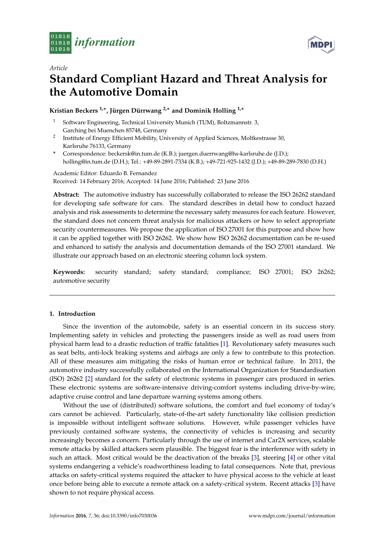



# *Article* **Standard Compliant Hazard and Threat Analysis for the Automotive Domain**

**Kristian Beckers 1,**<sup>∗</sup> **, Jürgen Dürrwang 2,**<sup>∗</sup> **and Dominik Holling 1,**<sup>∗</sup>

- <sup>1</sup> Software Engineering, Technical University Munich (TUM), Boltzmannstr. 3, Garching bei Muenchen 85748, Germany
- 2 Institute of Energy Efficient Mobility, University of Applied Sciences, Moltkestrasse 30, Karlsruhe 76133, Germany
- **\*** Correspondence: beckersk@in.tum.de (K.B.); juergen.duerrwang@hs-karlsruhe.de (J.D.); holling@in.tum.de (D.H.); Tel.: +49-89-2891-7334 (K.B.); +49-721-925-1432 (J.D.); +49-89-289-7830 (D.H.)

Academic Editor: Eduardo B. Fernandez Received: 14 February 2016; Accepted: 14 June 2016; Published: 23 June 2016

**Abstract:** The automotive industry has successfully collaborated to release the ISO 26262 standard for developing safe software for cars. The standard describes in detail how to conduct hazard analysis and risk assessments to determine the necessary safety measures for each feature. However, the standard does not concern threat analysis for malicious attackers or how to select appropriate security countermeasures. We propose the application of ISO 27001 for this purpose and show how it can be applied together with ISO 26262. We show how ISO 26262 documentation can be re-used and enhanced to satisfy the analysis and documentation demands of the ISO 27001 standard. We illustrate our approach based on an electronic steering column lock system.

**Keywords:** security standard; safety standard; compliance; ISO 27001; ISO 26262; automotive security

# **1. Introduction**

Since the invention of the automobile, safety is an essential concern in its success story. Implementing safety in vehicles and protecting the passengers inside as well as road users from physical harm lead to a drastic reduction of traffic fatalities [\[1\]](#page-32-0). Revolutionary safety measures such as seat belts, anti-lock braking systems and airbags are only a few to contribute to this protection. All of these measures aim mitigating the risks of human error or technical failure. In 2011, the automotive industry successfully collaborated on the International Organization for Standardisation (ISO) 26262 [\[2\]](#page-32-1) standard for the safety of electronic systems in passenger cars produced in series. These electronic systems are software-intensive driving-comfort systems including drive-by-wire, adaptive cruise control and lane departure warning systems among others.

Without the use of (distributed) software solutions, the comfort and fuel economy of today's cars cannot be achieved. Particularly, state-of-the-art safety functionality like collision prediction is impossible without intelligent software solutions. However, while passenger vehicles have previously contained software systems, the connectivity of vehicles is increasing and security increasingly becomes a concern. Particularly through the use of internet and Car2X services, scalable remote attacks by skilled attackers seem plausible. The biggest fear is the interference with safety in such an attack. Most critical would be the deactivation of the breaks [\[3\]](#page-32-2), steering [\[4\]](#page-32-3) or other vital systems endangering a vehicle's roadworthiness leading to fatal consequences. Note that, previous attacks on safety-critical systems required the attacker to have physical access to the vehicle at least once before being able to execute a remote attack on a safety-critical system. Recent attacks [\[3\]](#page-32-2) have shown to not require physical access.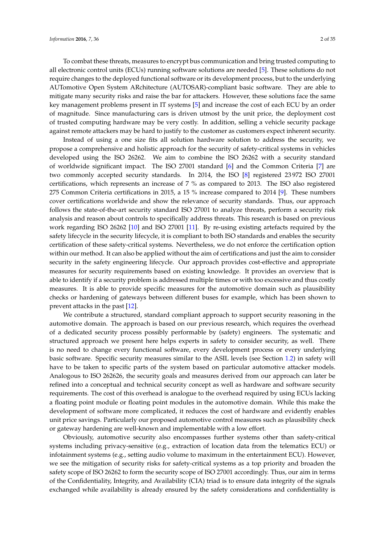To combat these threats, measures to encrypt bus communication and bring trusted computing to all electronic control units (ECUs) running software solutions are needed [\[5\]](#page-32-4). These solutions do not require changes to the deployed functional software or its development process, but to the underlying AUTomotive Open System ARchitecture (AUTOSAR)-compliant basic software. They are able to mitigate many security risks and raise the bar for attackers. However, these solutions face the same key management problems present in IT systems [\[5\]](#page-32-4) and increase the cost of each ECU by an order of magnitude. Since manufacturing cars is driven utmost by the unit price, the deployment cost of trusted computing hardware may be very costly. In addition, selling a vehicle security package against remote attackers may be hard to justify to the customer as customers expect inherent security.

Instead of using a one size fits all solution hardware solution to address the security, we propose a comprehensive and holistic approach for the security of safety-critical systems in vehicles developed using the ISO 26262. We aim to combine the ISO 26262 with a security standard of worldwide significant impact. The ISO 27001 standard [\[6\]](#page-32-5) and the Common Criteria [\[7\]](#page-32-6) are two commonly accepted security standards. In 2014, the ISO [\[8\]](#page-32-7) registered 23 972 ISO 27001 certifications, which represents an increase of 7 % as compared to 2013. The ISO also registered 275 Common Criteria certifications in 2015, a 15 % increase compared to 2014 [\[9\]](#page-32-8). These numbers cover certifications worldwide and show the relevance of security standards. Thus, our approach follows the state-of-the-art security standard ISO 27001 to analyze threats, perform a security risk analysis and reason about controls to specifically address threats. This research is based on previous work regarding ISO 26262 [\[10\]](#page-32-9) and ISO 27001 [\[11\]](#page-32-10). By re-using existing artefacts required by the safety lifecycle in the security lifecycle, it is compliant to both ISO standards and enables the security certification of these safety-critical systems. Nevertheless, we do not enforce the certification option within our method. It can also be applied without the aim of certifications and just the aim to consider security in the safety engineering lifecycle. Our approach provides cost-effective and appropriate measures for security requirements based on existing knowledge. It provides an overview that is able to identify if a security problem is addressed multiple times or with too excessive and thus costly measures. It is able to provide specific measures for the automotive domain such as plausibility checks or hardening of gateways between different buses for example, which has been shown to prevent attacks in the past [\[12\]](#page-32-11).

We contribute a structured, standard compliant approach to support security reasoning in the automotive domain. The approach is based on our previous research, which requires the overhead of a dedicated security process possibly performable by (safety) engineers. The systematic and structured approach we present here helps experts in safety to consider security, as well. There is no need to change every functional software, every development process or every underlying basic software. Specific security measures similar to the ASIL levels (see Section [1.2\)](#page-3-0) in safety will have to be taken to specific parts of the system based on particular automotive attacker models. Analogous to ISO 262626, the security goals and measures derived from our approach can later be refined into a conceptual and technical security concept as well as hardware and software security requirements. The cost of this overhead is analogue to the overhead required by using ECUs lacking a floating point module or floating point modules in the automotive domain. While this make the development of software more complicated, it reduces the cost of hardware and evidently enables unit price savings. Particularly our proposed automotive control measures such as plausibility check or gateway hardening are well-known and implementable with a low effort.

Obviously, automotive security also encompasses further systems other than safety-critical systems including privacy-sensitive (e.g., extraction of location data from the telematics ECU) or infotainment systems (e.g., setting audio volume to maximum in the entertainment ECU). However, we see the mitigation of security risks for safety-critical systems as a top priority and broaden the safety scope of ISO 26262 to form the security scope of ISO 27001 accordingly. Thus, our aim in terms of the Confidentiality, Integrity, and Availability (CIA) triad is to ensure data integrity of the signals exchanged while availability is already ensured by the safety considerations and confidentiality is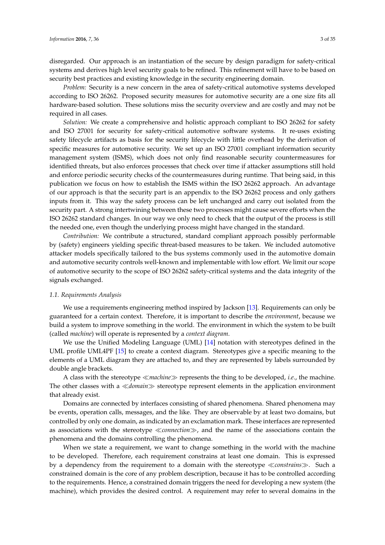disregarded. Our approach is an instantiation of the secure by design paradigm for safety-critical systems and derives high level security goals to be refined. This refinement will have to be based on security best practices and existing knowledge in the security engineering domain.

*Problem:* Security is a new concern in the area of safety-critical automotive systems developed according to ISO 26262. Proposed security measures for automotive security are a one size fits all hardware-based solution. These solutions miss the security overview and are costly and may not be required in all cases.

*Solution:* We create a comprehensive and holistic approach compliant to ISO 26262 for safety and ISO 27001 for security for safety-critical automotive software systems. It re-uses existing safety lifecycle artifacts as basis for the security lifecycle with little overhead by the derivation of specific measures for automotive security. We set up an ISO 27001 compliant information security management system (ISMS), which does not only find reasonable security countermeasures for identified threats, but also enforces processes that check over time if attacker assumptions still hold and enforce periodic security checks of the countermeasures during runtime. That being said, in this publication we focus on how to establish the ISMS within the ISO 26262 approach. An advantage of our approach is that the security part is an appendix to the ISO 26262 process and only gathers inputs from it. This way the safety process can be left unchanged and carry out isolated from the security part. A strong intertwining between these two processes might cause severe efforts when the ISO 26262 standard changes. In our way we only need to check that the output of the process is still the needed one, even though the underlying process might have changed in the standard.

*Contribution:* We contribute a structured, standard compliant approach possibly performable by (safety) engineers yielding specific threat-based measures to be taken. We included automotive attacker models specifically tailored to the bus systems commonly used in the automotive domain and automotive security controls well-known and implementable with low effort. We limit our scope of automotive security to the scope of ISO 26262 safety-critical systems and the data integrity of the signals exchanged.

#### <span id="page-2-0"></span>*1.1. Requirements Analysis*

We use a requirements engineering method inspired by Jackson [\[13\]](#page-32-12). Requirements can only be guaranteed for a certain context. Therefore, it is important to describe the *environment*, because we build a system to improve something in the world. The environment in which the system to be built (called *machine*) will operate is represented by a *context diagram*.

We use the Unified Modeling Language (UML) [\[14\]](#page-32-13) notation with stereotypes defined in the UML profile UML4PF [\[15\]](#page-32-14) to create a context diagram. Stereotypes give a specific meaning to the elements of a UML diagram they are attached to, and they are represented by labels surrounded by double angle brackets.

A class with the stereotype  $\ll$  *machine*  $\gg$  represents the thing to be developed, *i.e.*, the machine. The other classes with a  $\ll$ *domain* $\gg$  stereotype represent elements in the application environment that already exist.

Domains are connected by interfaces consisting of shared phenomena. Shared phenomena may be events, operation calls, messages, and the like. They are observable by at least two domains, but controlled by only one domain, as indicated by an exclamation mark. These interfaces are represented as associations with the stereotype  $\ll$ *connection* $\gg$ , and the name of the associations contain the phenomena and the domains controlling the phenomena.

When we state a requirement, we want to change something in the world with the machine to be developed. Therefore, each requirement constrains at least one domain. This is expressed by a dependency from the requirement to a domain with the stereotype *constrains*. Such a constrained domain is the core of any problem description, because it has to be controlled according to the requirements. Hence, a constrained domain triggers the need for developing a new system (the machine), which provides the desired control. A requirement may refer to several domains in the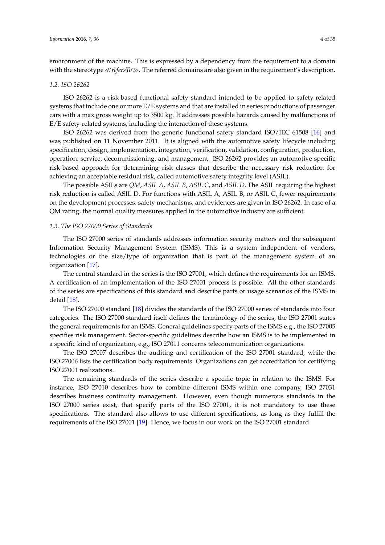environment of the machine. This is expressed by a dependency from the requirement to a domain with the stereotype  $\ll$  *refersTo* $>$ . The referred domains are also given in the requirement's description.

# <span id="page-3-0"></span>*1.2. ISO 26262*

ISO 26262 is a risk-based functional safety standard intended to be applied to safety-related systems that include one or more E/E systems and that are installed in series productions of passenger cars with a max gross weight up to 3500 kg. It addresses possible hazards caused by malfunctions of E/E safety-related systems, including the interaction of these systems.

ISO 26262 was derived from the generic functional safety standard ISO/IEC 61508 [\[16\]](#page-32-15) and was published on 11 November 2011. It is aligned with the automotive safety lifecycle including specification, design, implementation, integration, verification, validation, configuration, production, operation, service, decommissioning, and management. ISO 26262 provides an automotive-specific risk-based approach for determining risk classes that describe the necessary risk reduction for achieving an acceptable residual risk, called automotive safety integrity level (ASIL).

The possible ASILs are *QM*, *ASIL A*, *ASIL B*, *ASIL C*, and *ASIL D*. The ASIL requiring the highest risk reduction is called ASIL D. For functions with ASIL A, ASIL B, or ASIL C, fewer requirements on the development processes, safety mechanisms, and evidences are given in ISO 26262. In case of a QM rating, the normal quality measures applied in the automotive industry are sufficient.

# *1.3. The ISO 27000 Series of Standards*

The ISO 27000 series of standards addresses information security matters and the subsequent Information Security Management System (ISMS). This is a system independent of vendors, technologies or the size/type of organization that is part of the management system of an organization [\[17\]](#page-32-16).

The central standard in the series is the ISO 27001, which defines the requirements for an ISMS. A certification of an implementation of the ISO 27001 process is possible. All the other standards of the series are specifications of this standard and describe parts or usage scenarios of the ISMS in detail [\[18\]](#page-32-17).

The ISO 27000 standard [\[18\]](#page-32-17) divides the standards of the ISO 27000 series of standards into four categories. The ISO 27000 standard itself defines the terminology of the series, the ISO 27001 states the general requirements for an ISMS. General guidelines specify parts of the ISMS e.g., the ISO 27005 specifies risk management. Sector-specific guidelines describe how an ISMS is to be implemented in a specific kind of organization, e.g., ISO 27011 concerns telecommunication organizations.

The ISO 27007 describes the auditing and certification of the ISO 27001 standard, while the ISO 27006 lists the certification body requirements. Organizations can get accreditation for certifying ISO 27001 realizations.

The remaining standards of the series describe a specific topic in relation to the ISMS. For instance, ISO 27010 describes how to combine different ISMS within one company, ISO 27031 describes business continuity management. However, even though numerous standards in the ISO 27000 series exist, that specify parts of the ISO 27001, it is not mandatory to use these specifications. The standard also allows to use different specifications, as long as they fulfill the requirements of the ISO 27001 [\[19\]](#page-32-18). Hence, we focus in our work on the ISO 27001 standard.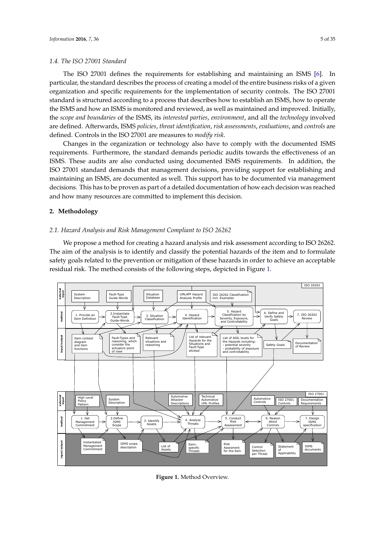## *1.4. The ISO 27001 Standard*

The ISO 27001 defines the requirements for establishing and maintaining an ISMS [\[6\]](#page-32-5). In particular, the standard describes the process of creating a model of the entire business risks of a given organization and specific requirements for the implementation of security controls. The ISO 27001 standard is structured according to a process that describes how to establish an ISMS, how to operate the ISMS and how an ISMS is monitored and reviewed, as well as maintained and improved. Initially, the *scope and boundaries* of the ISMS, its *interested parties*, *environment*, and all the *technology* involved are defined. Afterwards, ISMS *policies*, *threat identification*, *risk assessments*, *evaluations*, and *controls* are defined. Controls in the ISO 27001 are measures to *modify risk*.

Changes in the organization or technology also have to comply with the documented ISMS requirements. Furthermore, the standard demands periodic audits towards the effectiveness of an ISMS. These audits are also conducted using documented ISMS requirements. In addition, the ISO 27001 standard demands that management decisions, providing support for establishing and maintaining an ISMS, are documented as well. This support has to be documented via management decisions. This has to be proven as part of a detailed documentation of how each decision was reached and how many resources are committed to implement this decision.

# **2. Methodology**

# *2.1. Hazard Analysis and Risk Management Compliant to ISO 26262*

We propose a method for creating a hazard analysis and risk assessment according to ISO 26262. The aim of the analysis is to identify and classify the potential hazards of the item and to formulate safety goals related to the prevention or mitigation of these hazards in order to achieve an acceptable residual risk. The method consists of the following steps, depicted in Figure [1.](#page-4-0)

<span id="page-4-0"></span>

**Figure 1.** Method Overview.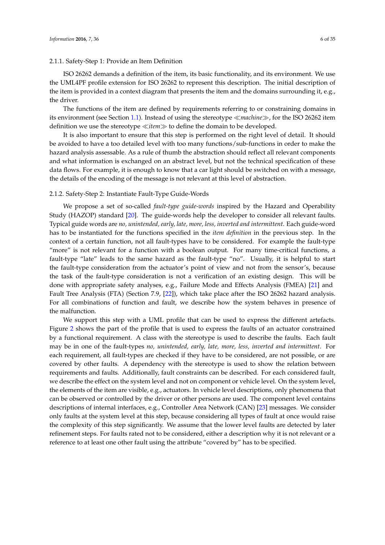# 2.1.1. Safety-Step 1: Provide an Item Definition

ISO 26262 demands a definition of the item, its basic functionality, and its environment. We use the UML4PF profile extension for ISO 26262 to represent this description. The initial description of the item is provided in a context diagram that presents the item and the domains surrounding it, e.g., the driver.

The functions of the item are defined by requirements referring to or constraining domains in its environment (see Section [1.1\)](#page-2-0). Instead of using the stereotype *«machine*», for the ISO 26262 item definition we use the stereotype  $\ll$ *item* $\gg$  to define the domain to be developed.

It is also important to ensure that this step is performed on the right level of detail. It should be avoided to have a too detailed level with too many functions/sub-functions in order to make the hazard analysis assessable. As a rule of thumb the abstraction should reflect all relevant components and what information is exchanged on an abstract level, but not the technical specification of these data flows. For example, it is enough to know that a car light should be switched on with a message, the details of the encoding of the message is not relevant at this level of abstraction.

# 2.1.2. Safety-Step 2: Instantiate Fault-Type Guide-Words

We propose a set of so-called *fault-type guide-words* inspired by the Hazard and Operability Study (HAZOP) standard [\[20\]](#page-32-19). The guide-words help the developer to consider all relevant faults. Typical guide words are *no, unintended, early, late, more, less, inverted and intermittent*. Each guide-word has to be instantiated for the functions specified in the *item definition* in the previous step. In the context of a certain function, not all fault-types have to be considered. For example the fault-type "more" is not relevant for a function with a boolean output. For many time-critical functions, a fault-type "late" leads to the same hazard as the fault-type "no". Usually, it is helpful to start the fault-type consideration from the actuator's point of view and not from the sensor's, because the task of the fault-type consideration is not a verification of an existing design. This will be done with appropriate safety analyses, e.g., Failure Mode and Effects Analysis (FMEA) [\[21\]](#page-33-0) and Fault Tree Analysis (FTA) (Section 7.9, [\[22\]](#page-33-1)), which take place after the ISO 26262 hazard analysis. For all combinations of function and fault, we describe how the system behaves in presence of the malfunction.

We support this step with a UML profile that can be used to express the different artefacts. Figure [2](#page-6-0) shows the part of the profile that is used to express the faults of an actuator constrained by a functional requirement. A class with the stereotype is used to describe the faults. Each fault may be in one of the fault-types *no, unintended, early, late, more, less, inverted and intermittent*. For each requirement, all fault-types are checked if they have to be considered, are not possible, or are covered by other faults. A dependency with the stereotype is used to show the relation between requirements and faults. Additionally, fault constraints can be described. For each considered fault, we describe the effect on the system level and not on component or vehicle level. On the system level, the elements of the item are visible, e.g., actuators. In vehicle level descriptions, only phenomena that can be observed or controlled by the driver or other persons are used. The component level contains descriptions of internal interfaces, e.g., Controller Area Network (CAN) [\[23\]](#page-33-2) messages. We consider only faults at the system level at this step, because considering all types of fault at once would raise the complexity of this step significantly. We assume that the lower level faults are detected by later refinement steps. For faults rated not to be considered, either a description why it is not relevant or a reference to at least one other fault using the attribute "covered by" has to be specified.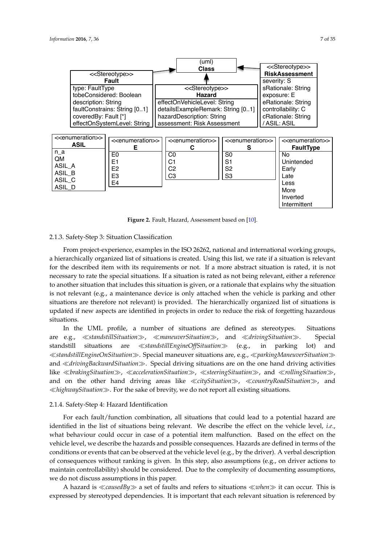<span id="page-6-0"></span>

|                                 | (uml)                             |                                 |
|---------------------------------|-----------------------------------|---------------------------------|
|                                 | <b>Class</b>                      | < <stereotype>&gt;</stereotype> |
| < <stereotype>&gt;</stereotype> |                                   | <b>RiskAssessment</b>           |
| <b>Fault</b>                    |                                   | severity: S                     |
| type: FaultType                 | < <stereotype>&gt;</stereotype>   | sRationale: String              |
| tobeConsidered: Boolean         | <b>Hazard</b>                     | exposure: E                     |
| description: String             | effectOnVehicleLevel: String      | eRationale: String              |
| faultConstrains: String [01]    | detailsExampleRemark: String [01] | controllability: C              |
| coveredBy: Fault [*]            | hazardDescription: String         | cRationale: String              |
| effectOnSystemLevel: String     | assessment: Risk Assessment       | / ASIL: ASIL                    |

| < <enumeration>&gt;<br/>ASIL</enumeration>          | < <enumeration>&gt;<br/>Е</enumeration>                                    | < <enumeration>&gt;</enumeration>                        | < <enumeration>&gt;</enumeration>                        | < <enumeration><br/><b>FaultType</b></enumeration>                            |
|-----------------------------------------------------|----------------------------------------------------------------------------|----------------------------------------------------------|----------------------------------------------------------|-------------------------------------------------------------------------------|
| $n_a$<br>QM<br>ASIL A<br>ASIL_B<br>ASIL_C<br>ASIL D | E <sub>0</sub><br>E <sub>1</sub><br>E <sub>2</sub><br>E <sub>3</sub><br>E4 | C <sub>0</sub><br>C1<br>C <sub>2</sub><br>C <sub>3</sub> | S <sub>0</sub><br>S1<br>S <sub>2</sub><br>S <sub>3</sub> | No<br>Unintended<br>Early<br>Late<br>Less<br>More<br>Inverted<br>Intermittent |

Figure 2. Fault, Hazard, Assessment based on [\[10\]](#page-32-9).

# 2.1.3. Safety-Step 3: Situation Classification

From project-experience, examples in the ISO 26262, national and international working groups, a hierarchically organized list of situations is created. Using this list, we rate if a situation is relevant for the described item with its requirements or not. If a more abstract situation is rated, it is not necessary to rate the special situations. If a situation is rated as not being relevant, either a reference to another situation that includes this situation is given, or a rationale that explains why the situation is not relevant (e.g., a maintenance device is only attached when the vehicle is parking and other situations are therefore not relevant) is provided. The hierarchically organized list of situations is updated if new aspects are identified in projects in order to reduce the risk of forgetting hazardous situations.

In the UML profile, a number of situations are defined as stereotypes. Situations are e.g.,  $\ll$ standstillSituation $\gg$ ,  $\ll$ maneuverSituation $\gg$ , and  $\ll$ drivingSituation $\gg$ . Special standstill situations are *«standstillEngineOffSituation*» (e.g., in parking lot) and *standstillEngineOnSituation*. Special maneuver situations are, e.g., *parkingManeuverSituation* and *«drivingBackwardSituation*». Special driving situations are on the one hand driving activities like *«brakingSituation», «accelerationSituation», «steeringSituation», and «rollingSituation»,* and on the other hand driving areas like  $\ll$ *citySituation* $\gg$ ,  $\ll$ *countryRoadSituation* $\gg$ , and *highwaySituation*. For the sake of brevity, we do not report all existing situations.

# 2.1.4. Safety-Step 4: Hazard Identification

For each fault/function combination, all situations that could lead to a potential hazard are identified in the list of situations being relevant. We describe the effect on the vehicle level, *i.e*., what behaviour could occur in case of a potential item malfunction. Based on the effect on the vehicle level, we describe the hazards and possible consequences. Hazards are defined in terms of the conditions or events that can be observed at the vehicle level (e.g., by the driver). A verbal description of consequences without ranking is given. In this step, also assumptions (e.g., on driver actions to maintain controllability) should be considered. Due to the complexity of documenting assumptions, we do not discuss assumptions in this paper.

A hazard is  $\langle \langle \text{causedBy} \rangle \rangle$  a set of faults and refers to situations  $\langle \langle \text{when} \rangle \rangle$  it can occur. This is expressed by stereotyped dependencies. It is important that each relevant situation is referenced by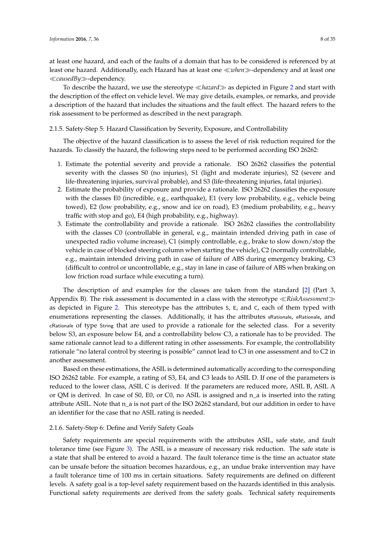at least one hazard, and each of the faults of a domain that has to be considered is referenced by at least one hazard. Additionally, each Hazard has at least one  $\ll$ *when* $\gg$ -dependency and at least one *causedBy*-dependency.

To describe the hazard, we use the stereotype  $\ll$ hazard $\gg$  as depicted in Figure [2](#page-6-0) and start with the description of the effect on vehicle level. We may give details, examples, or remarks, and provide a description of the hazard that includes the situations and the fault effect. The hazard refers to the risk assessment to be performed as described in the next paragraph.

# 2.1.5. Safety-Step 5: Hazard Classification by Severity, Exposure, and Controllability

The objective of the hazard classification is to assess the level of risk reduction required for the hazards. To classify the hazard, the following steps need to be performed according ISO 26262:

- 1. Estimate the potential severity and provide a rationale. ISO 26262 classifies the potential severity with the classes S0 (no injuries), S1 (light and moderate injuries), S2 (severe and life-threatening injuries, survival probable), and S3 (life-threatening injuries, fatal injuries).
- 2. Estimate the probability of exposure and provide a rationale. ISO 26262 classifies the exposure with the classes E0 (incredible, e.g., earthquake), E1 (very low probability, e.g., vehicle being towed), E2 (low probability, e.g., snow and ice on road), E3 (medium probability, e.g., heavy traffic with stop and go), E4 (high probability, e.g., highway).
- 3. Estimate the controllability and provide a rationale. ISO 26262 classifies the controllability with the classes C0 (controllable in general, e.g., maintain intended driving path in case of unexpected radio volume increase), C1 (simply controllable, e.g., brake to slow down/stop the vehicle in case of blocked steering column when starting the vehicle), C2 (normally controllable, e.g., maintain intended driving path in case of failure of ABS during emergency braking, C3 (difficult to control or uncontrollable, e.g., stay in lane in case of failure of ABS when braking on low friction road surface while executing a turn).

The description of and examples for the classes are taken from the standard [\[2\]](#page-32-1) (Part 3, Appendix B). The risk assessment is documented in a class with the stereotype  $\ll$ RiskAssessment $\gg$ as depicted in Figure [2.](#page-6-0) This stereotype has the attributes S, E, and C, each of them typed with enumerations representing the classes. Additionally, it has the attributes sRationale, eRationale, and cRationale of type String that are used to provide a rationale for the selected class. For a severity below S3, an exposure below E4, and a controllability below C3, a rationale has to be provided. The same rationale cannot lead to a different rating in other assessments. For example, the controllability rationale "no lateral control by steering is possible" cannot lead to C3 in one assessment and to C2 in another assessment.

Based on these estimations, the ASIL is determined automatically according to the corresponding ISO 26262 table. For example, a rating of S3, E4, and C3 leads to ASIL D. If one of the parameters is reduced to the lower class, ASIL C is derived. If the parameters are reduced more, ASIL B, ASIL A or QM is derived. In case of S0, E0, or C0, no ASIL is assigned and n\_a is inserted into the rating attribute ASIL. Note that n\_a is not part of the ISO 26262 standard, but our addition in order to have an identifier for the case that no ASIL rating is needed.

# 2.1.6. Safety-Step 6: Define and Verify Safety Goals

Safety requirements are special requirements with the attributes ASIL, safe state, and fault tolerance time (see Figure [3\)](#page-8-0). The ASIL is a measure of necessary risk reduction. The safe state is a state that shall be entered to avoid a hazard. The fault tolerance time is the time an actuator state can be unsafe before the situation becomes hazardous, e.g., an undue brake intervention may have a fault tolerance time of 100 ms in certain situations. Safety requirements are defined on different levels. A safety goal is a top-level safety requirement based on the hazards identified in this analysis. Functional safety requirements are derived from the safety goals. Technical safety requirements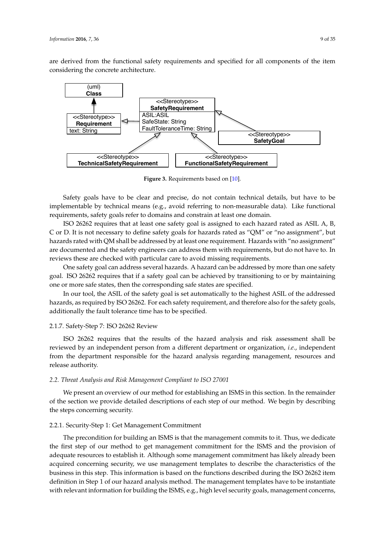are derived from the functional safety requirements and specified for all components of the item considering the concrete architecture.

<span id="page-8-0"></span>

Figure 3. Requirements based on [\[10\]](#page-32-9).

Safety goals have to be clear and precise, do not contain technical details, but have to be implementable by technical means (e.g., avoid referring to non-measurable data). Like functional requirements, safety goals refer to domains and constrain at least one domain.

ISO 26262 requires that at least one safety goal is assigned to each hazard rated as ASIL A, B, C or D. It is not necessary to define safety goals for hazards rated as "QM" or "no assignment", but hazards rated with QM shall be addressed by at least one requirement. Hazards with "no assignment" are documented and the safety engineers can address them with requirements, but do not have to. In reviews these are checked with particular care to avoid missing requirements.

One safety goal can address several hazards. A hazard can be addressed by more than one safety goal. ISO 26262 requires that if a safety goal can be achieved by transitioning to or by maintaining one or more safe states, then the corresponding safe states are specified.

In our tool, the ASIL of the safety goal is set automatically to the highest ASIL of the addressed hazards, as required by ISO 26262. For each safety requirement, and therefore also for the safety goals, additionally the fault tolerance time has to be specified.

# 2.1.7. Safety-Step 7: ISO 26262 Review

ISO 26262 requires that the results of the hazard analysis and risk assessment shall be reviewed by an independent person from a different department or organization, *i.e*., independent from the department responsible for the hazard analysis regarding management, resources and release authority.

#### *2.2. Threat Analysis and Risk Management Compliant to ISO 27001*

We present an overview of our method for establishing an ISMS in this section. In the remainder of the section we provide detailed descriptions of each step of our method. We begin by describing the steps concerning security.

# 2.2.1. Security-Step 1: Get Management Commitment

The precondition for building an ISMS is that the management commits to it. Thus, we dedicate the first step of our method to get management commitment for the ISMS and the provision of adequate resources to establish it. Although some management commitment has likely already been acquired concerning security, we use management templates to describe the characteristics of the business in this step. This information is based on the functions described during the ISO 26262 item definition in Step 1 of our hazard analysis method. The management templates have to be instantiate with relevant information for building the ISMS, e.g., high level security goals, management concerns,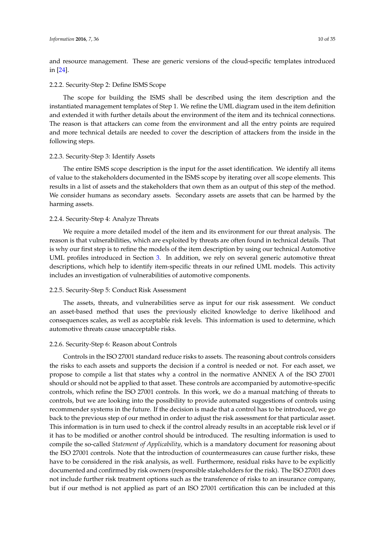and resource management. These are generic versions of the cloud-specific templates introduced in [\[24\]](#page-33-3).

# 2.2.2. Security-Step 2: Define ISMS Scope

The scope for building the ISMS shall be described using the item description and the instantiated management templates of Step 1. We refine the UML diagram used in the item definition and extended it with further details about the environment of the item and its technical connections. The reason is that attackers can come from the environment and all the entry points are required and more technical details are needed to cover the description of attackers from the inside in the following steps.

# 2.2.3. Security-Step 3: Identify Assets

The entire ISMS scope description is the input for the asset identification. We identify all items of value to the stakeholders documented in the ISMS scope by iterating over all scope elements. This results in a list of assets and the stakeholders that own them as an output of this step of the method. We consider humans as secondary assets. Secondary assets are assets that can be harmed by the harming assets.

# 2.2.4. Security-Step 4: Analyze Threats

We require a more detailed model of the item and its environment for our threat analysis. The reason is that vulnerabilities, which are exploited by threats are often found in technical details. That is why our first step is to refine the models of the item description by using our technical Automotive UML profiles introduced in Section [3.](#page-10-0) In addition, we rely on several generic automotive threat descriptions, which help to identify item-specific threats in our refined UML models. This activity includes an investigation of vulnerabilities of automotive components.

# 2.2.5. Security-Step 5: Conduct Risk Assessment

The assets, threats, and vulnerabilities serve as input for our risk assessment. We conduct an asset-based method that uses the previously elicited knowledge to derive likelihood and consequences scales, as well as acceptable risk levels. This information is used to determine, which automotive threats cause unacceptable risks.

# 2.2.6. Security-Step 6: Reason about Controls

Controls in the ISO 27001 standard reduce risks to assets. The reasoning about controls considers the risks to each assets and supports the decision if a control is needed or not. For each asset, we propose to compile a list that states why a control in the normative ANNEX A of the ISO 27001 should or should not be applied to that asset. These controls are accompanied by automotive-specific controls, which refine the ISO 27001 controls. In this work, we do a manual matching of threats to controls, but we are looking into the possibility to provide automated suggestions of controls using recommender systems in the future. If the decision is made that a control has to be introduced, we go back to the previous step of our method in order to adjust the risk assessment for that particular asset. This information is in turn used to check if the control already results in an acceptable risk level or if it has to be modified or another control should be introduced. The resulting information is used to compile the so-called *Statement of Applicability*, which is a mandatory document for reasoning about the ISO 27001 controls. Note that the introduction of countermeasures can cause further risks, these have to be considered in the risk analysis, as well. Furthermore, residual risks have to be explicitly documented and confirmed by risk owners (responsible stakeholders for the risk). The ISO 27001 does not include further risk treatment options such as the transference of risks to an insurance company, but if our method is not applied as part of an ISO 27001 certification this can be included at this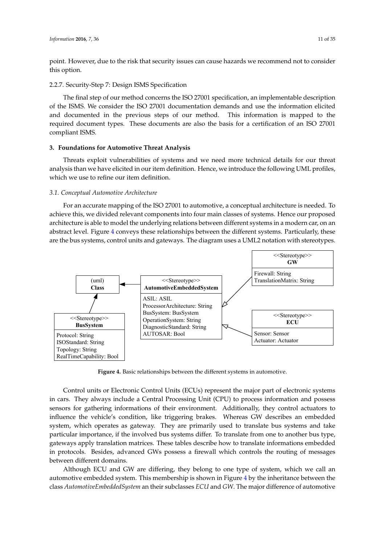point. However, due to the risk that security issues can cause hazards we recommend not to consider this option.

# 2.2.7. Security-Step 7: Design ISMS Specification

The final step of our method concerns the ISO 27001 specification, an implementable description of the ISMS. We consider the ISO 27001 documentation demands and use the information elicited and documented in the previous steps of our method. This information is mapped to the required document types. These documents are also the basis for a certification of an ISO 27001 compliant ISMS.

# <span id="page-10-0"></span>**3. Foundations for Automotive Threat Analysis**

Threats exploit vulnerabilities of systems and we need more technical details for our threat analysis than we have elicited in our item definition. Hence, we introduce the following UML profiles, which we use to refine our item definition.

# *3.1. Conceptual Automotive Architecture*

For an accurate mapping of the ISO 27001 to automotive, a conceptual architecture is needed. To achieve this, we divided relevant components into four main classes of systems. Hence our proposed architecture is able to model the underlying relations between different systems in a modern car, on an abstract level. Figure [4](#page-10-1) conveys these relationships between the different systems. Particularly, these are the bus systems, control units and gateways. The diagram uses a UML2 notation with stereotypes.

<span id="page-10-1"></span>

**Figure 4.** Basic relationships between the different systems in automotive.

Control units or Electronic Control Units (ECUs) represent the major part of electronic systems in cars. They always include a Central Processing Unit (CPU) to process information and possess sensors for gathering informations of their environment. Additionally, they control actuators to influence the vehicle's condition, like triggering brakes. Whereas GW describes an embedded system, which operates as gateway. They are primarily used to translate bus systems and take particular importance, if the involved bus systems differ. To translate from one to another bus type, gateways apply translation matrices. These tables describe how to translate informations embedded in protocols. Besides, advanced GWs possess a firewall which controls the routing of messages between different domains.

Although ECU and GW are differing, they belong to one type of system, which we call an automotive embedded system. This membership is shown in Figure [4](#page-10-1) by the inheritance between the class *AutomotiveEmbeddedSystem* an their subclasses *ECU* and *GW*. The major difference of automotive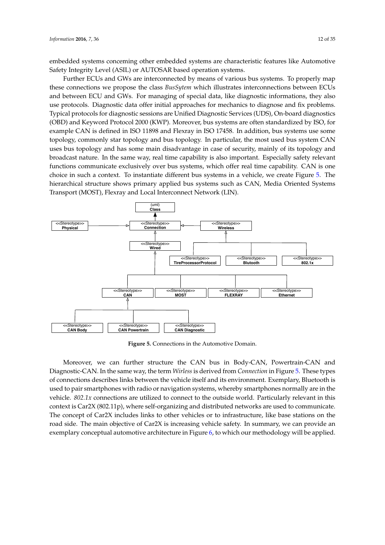embedded systems conceming other embedded systems are characteristic features like Automotive Safety Integrity Level (ASIL) or AUTOSAR based operation systems.

Further ECUs and GWs are interconnected by means of various bus systems. To properly map these connections we propose the class *BusSytem* which illustrates interconnections between ECUs and between ECU and GWs. For managing of special data, like diagnostic informations, they also use protocols. Diagnostic data offer initial approaches for mechanics to diagnose and fix problems. Typical protocols for diagnostic sessions are Unified Diagnostic Services (UDS), On-board diagnostics (OBD) and Keyword Protocol 2000 (KWP). Moreover, bus systems are often standardized by ISO, for example CAN is defined in ISO 11898 and Flexray in ISO 17458. In addition, bus systems use some topology, commonly star topology and bus topology. In particular, the most used bus system CAN uses bus topology and has some main disadvantage in case of security, mainly of its topology and broadcast nature. In the same way, real time capability is also important. Especially safety relevant functions communicate exclusively over bus systems, which offer real time capability. CAN is one choice in such a context. To instantiate different bus systems in a vehicle, we create Figure [5.](#page-11-0) The hierarchical structure shows primary applied bus systems such as CAN, Media Oriented Systems Transport (MOST), Flexray and Local Interconnect Network (LIN).

<span id="page-11-0"></span>

**Figure 5.** Connections in the Automotive Domain.

Moreover, we can further structure the CAN bus in Body-CAN, Powertrain-CAN and Diagnostic-CAN. In the same way, the term *Wirless* is derived from *Connection* in Figure [5.](#page-11-0) These types of connections describes links between the vehicle itself and its environment. Exemplary, Bluetooth is used to pair smartphones with radio or navigation systems, whereby smartphones normally are in the vehicle. *802.1x* connections are utilized to connect to the outside world. Particularly relevant in this context is Car2X (802.11p), where self-organizing and distributed networks are used to communicate. The concept of Car2X includes links to other vehicles or to infrastructure, like base stations on the road side. The main objective of Car2X is increasing vehicle safety. In summary, we can provide an exemplary conceptual automotive architecture in Figure [6,](#page-12-0) to which our methodology will be applied.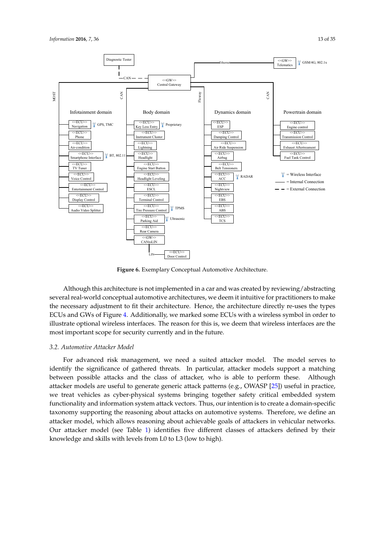<span id="page-12-0"></span>

**Figure 6.** Exemplary Conceptual Automotive Architecture.

Although this architecture is not implemented in a car and was created by reviewing/abstracting several real-world conceptual automotive architectures, we deem it intuitive for practitioners to make the necessary adjustment to fit their architecture. Hence, the architecture directly re-uses the types ECUs and GWs of Figure [4.](#page-10-1) Additionally, we marked some ECUs with a wireless symbol in order to illustrate optional wireless interfaces. The reason for this is, we deem that wireless interfaces are the most important scope for security currently and in the future.

# *3.2. Automotive Attacker Model*

For advanced risk management, we need a suited attacker model. The model serves to identify the significance of gathered threats. In particular, attacker models support a matching between possible attacks and the class of attacker, who is able to perform these. Although attacker models are useful to generate generic attack patterns (e.g., OWASP [\[25\]](#page-33-4)) useful in practice, we treat vehicles as cyber-physical systems bringing together safety critical embedded system functionality and information system attack vectors. Thus, our intention is to create a domain-specific taxonomy supporting the reasoning about attacks on automotive systems. Therefore, we define an attacker model, which allows reasoning about achievable goals of attackers in vehicular networks. Our attacker model (see Table [1\)](#page-13-0) identifies five different classes of attackers defined by their knowledge and skills with levels from L0 to L3 (low to high).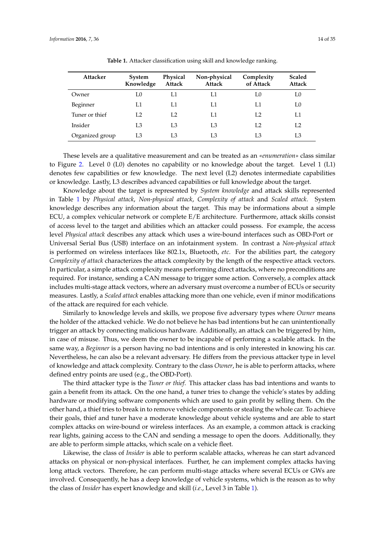<span id="page-13-0"></span>

| Attacker        | System<br>Knowledge | Physical<br>Attack | Non-physical<br><b>Attack</b> | Complexity<br>of Attack | <b>Scaled</b><br>Attack |
|-----------------|---------------------|--------------------|-------------------------------|-------------------------|-------------------------|
| Owner           | L0                  | L1                 | L1                            | L0                      | L0                      |
| Beginner        | L1                  | L1                 | L1                            | L1                      | Lθ                      |
| Tuner or thief  | L <sub>2</sub>      | L <sub>2</sub>     | L1                            | I.2                     | L1                      |
| Insider         | L <sub>3</sub>      | L3                 | L <sub>3</sub>                | L <sub>2</sub>          | L <sub>2</sub>          |
| Organized group | L3                  | L3                 | L3                            | L3                      | L3                      |

**Table 1.** Attacker classification using skill and knowledge ranking.

These levels are a qualitative measurement and can be treated as an *«enumeration»* class similar to Figure [2.](#page-6-0) Level 0 (L0) denotes no capability or no knowledge about the target. Level 1 (L1) denotes few capabilities or few knowledge. The next level (L2) denotes intermediate capabilities or knowledge. Lastly, L3 describes advanced capabilities or full knowledge about the target.

Knowledge about the target is represented by *System knowledge* and attack skills represented in Table [1](#page-13-0) by *Physical attack*, *Non-physical attack*, *Complexity of attack* and *Scaled attack*. System knowledge describes any information about the target. This may be informations about a simple ECU, a complex vehicular network or complete E/E architecture. Furthermore, attack skills consist of access level to the target and abilities which an attacker could possess. For example, the access level *Physical attack* describes any attack which uses a wire-bound interfaces such as OBD-Port or Universal Serial Bus (USB) interface on an infotainment system. In contrast a *Non-physical attack* is performed on wireless interfaces like 802.1x, Bluetooth, *etc*. For the abilities part, the category *Complexity of attack* characterizes the attack complexity by the length of the respective attack vectors. In particular, a simple attack complexity means performing direct attacks, where no preconditions are required. For instance, sending a CAN message to trigger some action. Conversely, a complex attack includes multi-stage attack vectors, where an adversary must overcome a number of ECUs or security measures. Lastly, a *Scaled attack* enables attacking more than one vehicle, even if minor modifications of the attack are required for each vehicle.

Similarly to knowledge levels and skills, we propose five adversary types where *Owner* means the holder of the attacked vehicle. We do not believe he has bad intentions but he can unintentionally trigger an attack by connecting malicious hardware. Additionally, an attack can be triggered by him, in case of misuse. Thus, we deem the owner to be incapable of performing a scalable attack. In the same way, a *Beginner* is a person having no bad intentions and is only interested in knowing his car. Nevertheless, he can also be a relevant adversary. He differs from the previous attacker type in level of knowledge and attack complexity. Contrary to the class *Owner*, he is able to perform attacks, where defined entry points are used (e.g., the OBD-Port).

The third attacker type is the *Tuner or thief*. This attacker class has bad intentions and wants to gain a benefit from its attack. On the one hand, a tuner tries to change the vehicle's states by adding hardware or modifying software components which are used to gain profit by selling them. On the other hand, a thief tries to break in to remove vehicle components or stealing the whole car. To achieve their goals, thief and tuner have a moderate knowledge about vehicle systems and are able to start complex attacks on wire-bound or wireless interfaces. As an example, a common attack is cracking rear lights, gaining access to the CAN and sending a message to open the doors. Additionally, they are able to perform simple attacks, which scale on a vehicle fleet.

Likewise, the class of *Insider* is able to perform scalable attacks, whereas he can start advanced attacks on physical or non-physical interfaces. Further, he can implement complex attacks having long attack vectors. Therefore, he can perform multi-stage attacks where several ECUs or GWs are involved. Consequently, he has a deep knowledge of vehicle systems, which is the reason as to why the class of *Insider* has expert knowledge and skill (*i.e*., Level 3 in Table [1\)](#page-13-0).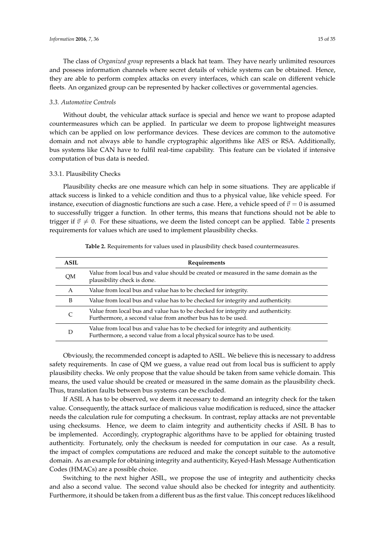The class of *Organized group* represents a black hat team. They have nearly unlimited resources and possess information channels where secret details of vehicle systems can be obtained. Hence, they are able to perform complex attacks on every interfaces, which can scale on different vehicle fleets. An organized group can be represented by hacker collectives or governmental agencies.

# <span id="page-14-1"></span>*3.3. Automotive Controls*

Without doubt, the vehicular attack surface is special and hence we want to propose adapted countermeasures which can be applied. In particular we deem to propose lightweight measures which can be applied on low performance devices. These devices are common to the automotive domain and not always able to handle cryptographic algorithms like AES or RSA. Additionally, bus systems like CAN have to fulfil real-time capability. This feature can be violated if intensive computation of bus data is needed.

# 3.3.1. Plausibility Checks

Plausibility checks are one measure which can help in some situations. They are applicable if attack success is linked to a vehicle condition and thus to a physical value, like vehicle speed. For instance, execution of diagnostic functions are such a case. Here, a vehicle speed of  $\vec{v} = 0$  is assumed to successfully trigger a function. In other terms, this means that functions should not be able to trigger if  $\vec{v} \neq 0$ . For these situations, we deem the listed concept can be applied. Table [2](#page-14-0) presents requirements for values which are used to implement plausibility checks.

<span id="page-14-0"></span>

| <b>ASIL</b> | Requirements                                                                                                                                                 |
|-------------|--------------------------------------------------------------------------------------------------------------------------------------------------------------|
| OM          | Value from local bus and value should be created or measured in the same domain as the<br>plausibility check is done.                                        |
| A           | Value from local bus and value has to be checked for integrity.                                                                                              |
| B           | Value from local bus and value has to be checked for integrity and authenticity.                                                                             |
|             | Value from local bus and value has to be checked for integrity and authenticity.<br>Furthermore, a second value from another bus has to be used.             |
| D           | Value from local bus and value has to be checked for integrity and authenticity.<br>Furthermore, a second value from a local physical source has to be used. |

**Table 2.** Requirements for values used in plausibility check based countermeasures.

Obviously, the recommended concept is adapted to ASIL. We believe this is necessary to address safety requirements. In case of QM we guess, a value read out from local bus is sufficient to apply plausibility checks. We only propose that the value should be taken from same vehicle domain. This means, the used value should be created or measured in the same domain as the plausibility check. Thus, translation faults between bus systems can be excluded.

If ASIL A has to be observed, we deem it necessary to demand an integrity check for the taken value. Consequently, the attack surface of malicious value modification is reduced, since the attacker needs the calculation rule for computing a checksum. In contrast, replay attacks are not preventable using checksums. Hence, we deem to claim integrity and authenticity checks if ASIL B has to be implemented. Accordingly, cryptographic algorithms have to be applied for obtaining trusted authenticity. Fortunately, only the checksum is needed for computation in our case. As a result, the impact of complex computations are reduced and make the concept suitable to the automotive domain. As an example for obtaining integrity and authenticity, Keyed-Hash Message Authentication Codes (HMACs) are a possible choice.

Switching to the next higher ASIL, we propose the use of integrity and authenticity checks and also a second value. The second value should also be checked for integrity and authenticity. Furthermore, it should be taken from a different bus as the first value. This concept reduces likelihood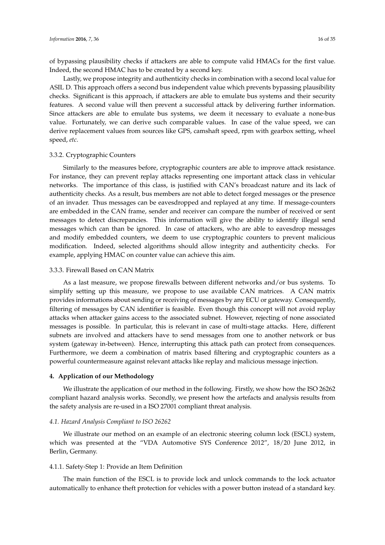of bypassing plausibility checks if attackers are able to compute valid HMACs for the first value. Indeed, the second HMAC has to be created by a second key.

Lastly, we propose integrity and authenticity checks in combination with a second local value for ASIL D. This approach offers a second bus independent value which prevents bypassing plausibility checks. Significant is this approach, if attackers are able to emulate bus systems and their security features. A second value will then prevent a successful attack by delivering further information. Since attackers are able to emulate bus systems, we deem it necessary to evaluate a none-bus value. Fortunately, we can derive such comparable values. In case of the value speed, we can derive replacement values from sources like GPS, camshaft speed, rpm with gearbox setting, wheel speed, *etc*.

# 3.3.2. Cryptographic Counters

Similarly to the measures before, cryptographic counters are able to improve attack resistance. For instance, they can prevent replay attacks representing one important attack class in vehicular networks. The importance of this class, is justified with CAN's broadcast nature and its lack of authenticity checks. As a result, bus members are not able to detect forged messages or the presence of an invader. Thus messages can be eavesdropped and replayed at any time. If message-counters are embedded in the CAN frame, sender and receiver can compare the number of received or sent messages to detect discrepancies. This information will give the ability to identify illegal send messages which can than be ignored. In case of attackers, who are able to eavesdrop messages and modify embedded counters, we deem to use cryptographic counters to prevent malicious modification. Indeed, selected algorithms should allow integrity and authenticity checks. For example, applying HMAC on counter value can achieve this aim.

#### 3.3.3. Firewall Based on CAN Matrix

As a last measure, we propose firewalls between different networks and/or bus systems. To simplify setting up this measure, we propose to use available CAN matrices. A CAN matrix provides informations about sending or receiving of messages by any ECU or gateway. Consequently, filtering of messages by CAN identifier is feasible. Even though this concept will not avoid replay attacks when attacker gains access to the associated subnet. However, rejecting of none associated messages is possible. In particular, this is relevant in case of multi-stage attacks. Here, different subnets are involved and attackers have to send messages from one to another network or bus system (gateway in-between). Hence, interrupting this attack path can protect from consequences. Furthermore, we deem a combination of matrix based filtering and cryptographic counters as a powerful countermeasure against relevant attacks like replay and malicious message injection.

#### **4. Application of our Methodology**

We illustrate the application of our method in the following. Firstly, we show how the ISO 26262 compliant hazard analysis works. Secondly, we present how the artefacts and analysis results from the safety analysis are re-used in a ISO 27001 compliant threat analysis.

# *4.1. Hazard Analysis Compliant to ISO 26262*

We illustrate our method on an example of an electronic steering column lock (ESCL) system, which was presented at the "VDA Automotive SYS Conference 2012", 18/20 June 2012, in Berlin, Germany.

# 4.1.1. Safety-Step 1: Provide an Item Definition

The main function of the ESCL is to provide lock and unlock commands to the lock actuator automatically to enhance theft protection for vehicles with a power button instead of a standard key.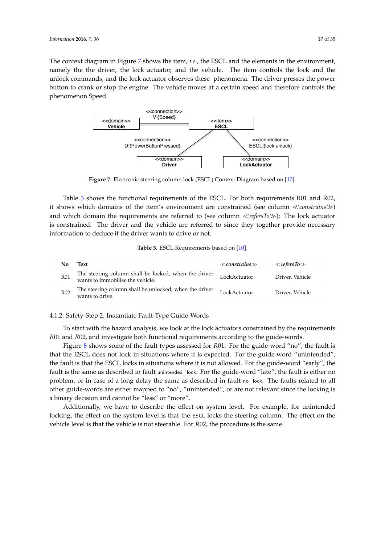The context diagram in Figure [7](#page-16-0) shows the item, *i.e*., the ESCL and the elements in the environment, namely the the driver, the lock actuator, and the vehicle. The item controls the lock and the unlock commands, and the lock actuator observes these phenomena. The driver presses the power button to crank or stop the engine. The vehicle moves at a certain speed and therefore controls the phenomenon Speed.

<span id="page-16-0"></span>

**Figure 7.** Electronic steering column lock (ESCL) Context Diagram based on [\[10\]](#page-32-9).

Table [3](#page-16-1) shows the functional requirements of the ESCL. For both requirements R01 and R02, it shows which domains of the item's environment are constrained (see column  $\ll$ *constrains* $\gg$ ) and which domain the requirements are referred to (see column  $\ll$ *refersTo* $\gg$ ): The lock actuator is constrained. The driver and the vehicle are referred to since they together provide necessary information to deduce if the driver wants to drive or not.

|  |  | Table 3. ESCL Requirements based on [10]. |  |  |  |
|--|--|-------------------------------------------|--|--|--|
|--|--|-------------------------------------------|--|--|--|

<span id="page-16-1"></span>

| No              | Text                                                                                     | $\ll$ constrains $\gg$ | $\ll$ refersTo $\gg$ |
|-----------------|------------------------------------------------------------------------------------------|------------------------|----------------------|
| <b>R01</b>      | The steering column shall be locked, when the driver<br>wants to immobilise the vehicle. | LockActuator           | Driver, Vehicle      |
| R <sub>02</sub> | The steering column shall be unlocked, when the driver<br>wants to drive.                | LockActuator           | Driver, Vehicle      |

4.1.2. Safety-Step 2: Instantiate Fault-Type Guide-Words

To start with the hazard analysis, we look at the lock actuators constrained by the requirements *R*01 and *R*02, and investigate both functional requirements according to the guide-words.

Figure [8](#page-17-0) shows some of the fault types assessed for *R*01. For the guide-word "no", the fault is that the ESCL does not lock in situations where it is expected. For the guide-word "unintended", the fault is that the ESCL locks in situations where it is not allowed. For the guide-word "early", the fault is the same as described in fault unintended lock. For the guide-word "late", the fault is either no problem, or in case of a long delay the same as described in fault no lock. The faults related to all other guide-words are either mapped to "no", "unintended", or are not relevant since the locking is a binary decision and cannot be "less" or "more".

Additionally, we have to describe the effect on system level. For example, for unintended locking, the effect on the system level is that the ESCL locks the steering column. The effect on the vehicle level is that the vehicle is not steerable. For *R*02, the procedure is the same.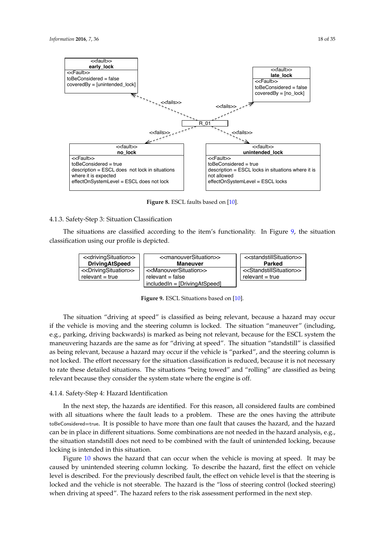<span id="page-17-0"></span>

**Figure 8.** ESCL faults based on [\[10\]](#page-32-9).

# 4.1.3. Safety-Step 3: Situation Classification

The situations are classified according to the item's functionality. In Figure [9,](#page-17-1) the situation classification using our profile is depicted.

<span id="page-17-1"></span>

**Figure 9.** ESCL Situations based on [\[10\]](#page-32-9).

The situation "driving at speed" is classified as being relevant, because a hazard may occur if the vehicle is moving and the steering column is locked. The situation "maneuver" (including, e.g., parking, driving backwards) is marked as being not relevant, because for the ESCL system the maneuvering hazards are the same as for "driving at speed". The situation "standstill" is classified as being relevant, because a hazard may occur if the vehicle is "parked", and the steering column is not locked. The effort necessary for the situation classification is reduced, because it is not necessary to rate these detailed situations. The situations "being towed" and "rolling" are classified as being relevant because they consider the system state where the engine is off.

## 4.1.4. Safety-Step 4: Hazard Identification

In the next step, the hazards are identified. For this reason, all considered faults are combined with all situations where the fault leads to a problem. These are the ones having the attribute toBeConsidered=true. It is possible to have more than one fault that causes the hazard, and the hazard can be in place in different situations. Some combinations are not needed in the hazard analysis, e.g., the situation standstill does not need to be combined with the fault of unintended locking, because locking is intended in this situation.

Figure [10](#page-18-0) shows the hazard that can occur when the vehicle is moving at speed. It may be caused by unintended steering column locking. To describe the hazard, first the effect on vehicle level is described. For the previously described fault, the effect on vehicle level is that the steering is locked and the vehicle is not steerable. The hazard is the "loss of steering control (locked steering) when driving at speed". The hazard refers to the risk assessment performed in the next step.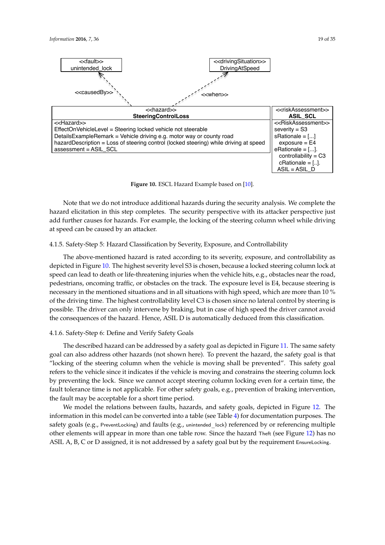<span id="page-18-0"></span>

**Figure 10.** ESCL Hazard Example based on [\[10\]](#page-32-9).

Note that we do not introduce additional hazards during the security analysis. We complete the hazard elicitation in this step completes. The security perspective with its attacker perspective just add further causes for hazards. For example, the locking of the steering column wheel while driving at speed can be caused by an attacker.

# 4.1.5. Safety-Step 5: Hazard Classification by Severity, Exposure, and Controllability

The above-mentioned hazard is rated according to its severity, exposure, and controllability as depicted in Figure [10.](#page-18-0) The highest severity level S3 is chosen, because a locked steering column lock at speed can lead to death or life-threatening injuries when the vehicle hits, e.g., obstacles near the road, pedestrians, oncoming traffic, or obstacles on the track. The exposure level is E4, because steering is necessary in the mentioned situations and in all situations with high speed, which are more than 10 % of the driving time. The highest controllability level C3 is chosen since no lateral control by steering is possible. The driver can only intervene by braking, but in case of high speed the driver cannot avoid the consequences of the hazard. Hence, ASIL D is automatically deduced from this classification.

#### 4.1.6. Safety-Step 6: Define and Verify Safety Goals

The described hazard can be addressed by a safety goal as depicted in Figure [11.](#page-19-0) The same safety goal can also address other hazards (not shown here). To prevent the hazard, the safety goal is that "locking of the steering column when the vehicle is moving shall be prevented". This safety goal refers to the vehicle since it indicates if the vehicle is moving and constrains the steering column lock by preventing the lock. Since we cannot accept steering column locking even for a certain time, the fault tolerance time is not applicable. For other safety goals, e.g., prevention of braking intervention, the fault may be acceptable for a short time period.

We model the relations between faults, hazards, and safety goals, depicted in Figure [12.](#page-19-1) The information in this model can be converted into a table (see Table [4\)](#page-19-2) for documentation purposes. The safety goals (e.g., PreventLocking) and faults (e.g., unintended lock) referenced by or referencing multiple other elements will appear in more than one table row. Since the hazard Theft (see Figure [12\)](#page-19-1) has no ASIL A, B, C or D assigned, it is not addressed by a safety goal but by the requirement EnsureLocking.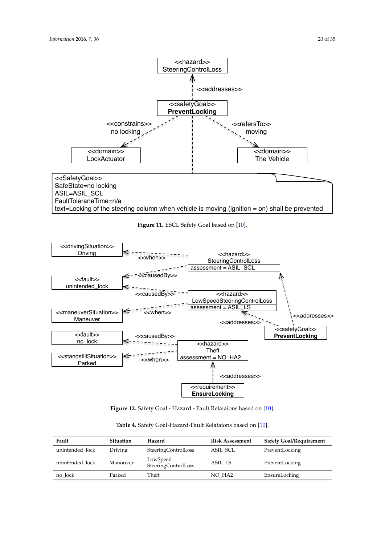<span id="page-19-0"></span>



<span id="page-19-1"></span>

**Figure 12.** Safety Goal - Hazard - Fault Relataions based on [\[10\]](#page-32-9).

|  | <b>Table 4.</b> Safety Goal-Hazard-Fault Relataions based on [10]. |  |
|--|--------------------------------------------------------------------|--|
|--|--------------------------------------------------------------------|--|

<span id="page-19-2"></span>

| Fault           | <b>Situation</b> | Hazard                          | <b>Risk Assessment</b> | <b>Safety Goal/Requirement</b> |
|-----------------|------------------|---------------------------------|------------------------|--------------------------------|
| unintended lock | Driving          | SteeringControlLoss             | ASIL SCL               | PreventLocking                 |
| unintended lock | Manouver         | LowSpeed<br>SteeringControlLoss | ASIL LS                | PreventLocking                 |
| no lock         | Parked           | Theft                           | NO HA2                 | EnsureLocking                  |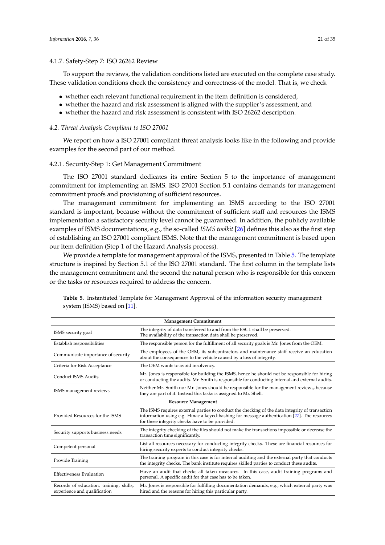### 4.1.7. Safety-Step 7: ISO 26262 Review

To support the reviews, the validation conditions listed are executed on the complete case study. These validation conditions check the consistency and correctness of the model. That is, we check

- whether each relevant functional requirement in the item definition is considered,
- whether the hazard and risk assessment is aligned with the supplier's assessment, and
- whether the hazard and risk assessment is consistent with ISO 26262 description.

## *4.2. Threat Analysis Compliant to ISO 27001*

We report on how a ISO 27001 compliant threat analysis looks like in the following and provide examples for the second part of our method.

# 4.2.1. Security-Step 1: Get Management Commitment

The ISO 27001 standard dedicates its entire Section 5 to the importance of management commitment for implementing an ISMS. ISO 27001 Section 5.1 contains demands for management commitment proofs and provisioning of sufficient resources.

The management commitment for implementing an ISMS according to the ISO 27001 standard is important, because without the commitment of sufficient staff and resources the ISMS implementation a satisfactory security level cannot be guaranteed. In addition, the publicly available examples of ISMS documentations, e.g., the so-called *ISMS toolkit* [\[26\]](#page-33-5) defines this also as the first step of establishing an ISO 27001 compliant ISMS. Note that the management commitment is based upon our item definition (Step 1 of the Hazard Analysis process).

We provide a template for management approval of the ISMS, presented in Table [5.](#page-20-0) The template structure is inspired by Section 5.1 of the ISO 27001 standard. The first column in the template lists the management commitment and the second the natural person who is responsible for this concern or the tasks or resources required to address the concern.

| <b>Management Commitment</b>                                            |                                                                                                                                                                                                                                                  |  |  |
|-------------------------------------------------------------------------|--------------------------------------------------------------------------------------------------------------------------------------------------------------------------------------------------------------------------------------------------|--|--|
| ISMS security goal                                                      | The integrity of data transferred to and from the ESCL shall be preserved.<br>The availability of the transaction data shall be preserved.                                                                                                       |  |  |
| Establish responsibilities                                              | The responsible person for the fulfillment of all security goals is Mr. Jones from the OEM.                                                                                                                                                      |  |  |
| Communicate importance of security                                      | The employees of the OEM, its subcontractors and maintenance staff receive an education<br>about the consequences to the vehicle caused by a loss of integrity.                                                                                  |  |  |
| Criteria for Risk Acceptance                                            | The OEM wants to avoid insolvency.                                                                                                                                                                                                               |  |  |
| <b>Conduct ISMS Audits</b>                                              | Mr. Jones is responsible for building the ISMS, hence he should not be responsible for hiring<br>or conducting the audits. Mr. Smith is responsible for conducting internal and external audits.                                                 |  |  |
| ISMS management reviews                                                 | Neither Mr. Smith nor Mr. Jones should be responsible for the management reviews, because<br>they are part of it. Instead this tasks is assigned to Mr. Shell.                                                                                   |  |  |
|                                                                         | <b>Resource Management</b>                                                                                                                                                                                                                       |  |  |
| Provided Resources for the ISMS                                         | The ISMS requires external parties to conduct the checking of the data integrity of transaction<br>information using e.g. Hmac a keyed-hashing for message authentication [27]. The resources<br>for these integrity checks have to be provided. |  |  |
| Security supports business needs                                        | The integrity checking of the files should not make the transactions impossible or decrease the<br>transaction time significantly.                                                                                                               |  |  |
| Competent personal                                                      | List all resources necessary for conducting integrity checks. These are financial resources for<br>hiring security experts to conduct integrity checks.                                                                                          |  |  |
| Provide Training                                                        | The training program in this case is for internal auditing and the external party that conducts<br>the integrity checks. The bank institute requires skilled parties to conduct these audits.                                                    |  |  |
| <b>Effectiveness Evaluation</b>                                         | Have an audit that checks all taken measures. In this case, audit training programs and<br>personal. A specific audit for that case has to be taken.                                                                                             |  |  |
| Records of education, training, skills,<br>experience and qualification | Mr. Jones is responsible for fulfilling documentation demands, e.g., which external party was<br>hired and the reasons for hiring this particular party.                                                                                         |  |  |

<span id="page-20-0"></span>**Table 5.** Instantiated Template for Management Approval of the information security management system (ISMS) based on [\[11\]](#page-32-10).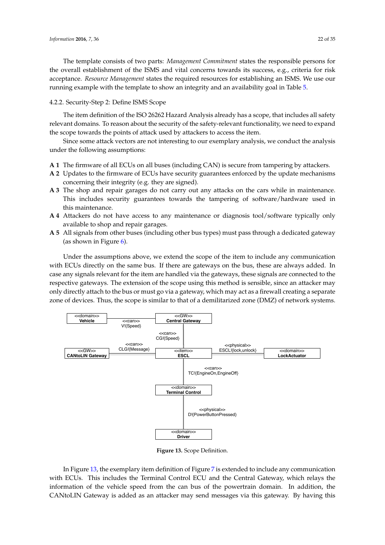The template consists of two parts: *Management Commitment* states the responsible persons for the overall establishment of the ISMS and vital concerns towards its success, e.g., criteria for risk acceptance. *Resource Management* states the required resources for establishing an ISMS. We use our running example with the template to show an integrity and an availability goal in Table [5.](#page-20-0)

# 4.2.2. Security-Step 2: Define ISMS Scope

The item definition of the ISO 26262 Hazard Analysis already has a scope, that includes all safety relevant domains. To reason about the security of the safety-relevant functionality, we need to expand the scope towards the points of attack used by attackers to access the item.

Since some attack vectors are not interesting to our exemplary analysis, we conduct the analysis under the following assumptions:

- **A 1** The firmware of all ECUs on all buses (including CAN) is secure from tampering by attackers.
- **A 2** Updates to the firmware of ECUs have security guarantees enforced by the update mechanisms concerning their integrity (e.g. they are signed).
- **A 3** The shop and repair garages do not carry out any attacks on the cars while in maintenance. This includes security guarantees towards the tampering of software/hardware used in this maintenance.
- **A 4** Attackers do not have access to any maintenance or diagnosis tool/software typically only available to shop and repair garages.
- **A 5** All signals from other buses (including other bus types) must pass through a dedicated gateway (as shown in Figure  $6$ ).

Under the assumptions above, we extend the scope of the item to include any communication with ECUs directly on the same bus. If there are gateways on the bus, these are always added. In case any signals relevant for the item are handled via the gateways, these signals are connected to the respective gateways. The extension of the scope using this method is sensible, since an attacker may only directly attach to the bus or must go via a gateway, which may act as a firewall creating a separate zone of devices. Thus, the scope is similar to that of a demilitarized zone (DMZ) of network systems.

<span id="page-21-0"></span>

**Figure 13.** Scope Definition.

In Figure [13,](#page-21-0) the exemplary item definition of Figure [7](#page-16-0) is extended to include any communication with ECUs. This includes the Terminal Control ECU and the Central Gateway, which relays the information of the vehicle speed from the can bus of the powertrain domain. In addition, the CANtoLIN Gateway is added as an attacker may send messages via this gateway. By having this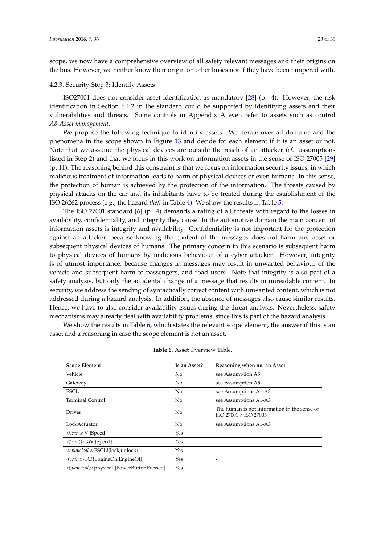scope, we now have a comprehensive overview of all safety relevant messages and their origins on the bus. However, we neither know their origin on other buses nor if they have been tampered with.

# 4.2.3. Security-Step 3: Identify Assets

ISO27001 does not consider asset identification as mandatory [\[28\]](#page-33-7) (p. 4). However, the risk identification in Section 6.1.2 in the standard could be supported by identifying assets and their vulnerabilities and threats. Some controls in Appendix A even refer to assets such as control *A8-Asset management*.

We propose the following technique to identify assets. We iterate over all domains and the phenomena in the scope shown in Figure [13](#page-21-0) and decide for each element if it is an asset or not. Note that we assume the physical devices are outside the reach of an attacker (*cf*. assumptions listed in Step 2) and that we focus in this work on information assets in the sense of ISO 27005 [\[29\]](#page-33-8) (p. 11). The reasoning behind this constraint is that we focus on information security issues, in which malicious treatment of information leads to harm of physical devices or even humans. In this sense, the protection of human is achieved by the protection of the information. The threats caused by physical attacks on the car and its inhabitants have to be treated during the establishment of the ISO 26262 process (e.g., the hazard *theft* in Table [4\)](#page-19-2). We show the results in Table [5.](#page-20-0)

The ISO 27001 standard [\[6\]](#page-32-5) (p. 4) demands a rating of all threats with regard to the losses in availability, confidentiality, and integrity they cause. In the automotive domain the main concern of information assets is integrity and availability. Confidentiality is not important for the protection against an attacker, because knowing the content of the messages does not harm any asset or subsequent physical devices of humans. The primary concern in this scenario is subsequent harm to physical devices of humans by malicious behaviour of a cyber attacker. However, integrity is of utmost importance, because changes in messages may result in unwanted behaviour of the vehicle and subsequent harm to passengers, and road users. Note that integrity is also part of a safety analysis, but only the accidental change of a message that results in unreadable content. In security, we address the sending of syntactically correct content with unwanted content, which is not addressed during a hazard analysis. In addition, the absence of messages also cause similar results. Hence, we have to also consider availability issues during the threat analysis. Nevertheless, safety mechanisms may already deal with availability problems, since this is part of the hazard analysis.

<span id="page-22-0"></span>We show the results in Table [6,](#page-22-0) which states the relevant scope element, the answer if this is an asset and a reasoning in case the scope element is not an asset.

| <b>Scope Element</b>                    | Is an Asset?   | Reasoning when not an Asset                                           |
|-----------------------------------------|----------------|-----------------------------------------------------------------------|
| Vehicle                                 | No             | see Assumption A5                                                     |
| Gateway                                 | No             | see Assumption A5                                                     |
| <b>ESCL</b>                             | N <sub>o</sub> | see Assumptions A1-A3                                                 |
| <b>Terminal Control</b>                 | No             | see Assumptions A1-A3                                                 |
| Driver                                  | N <sub>o</sub> | The human is not information in the sense of<br>ISO 27001 / ISO 27005 |
| LockActuator                            | N <sub>o</sub> | see Assumptions A1-A3                                                 |
| $\ll can \gg V!$ [Speed]                | Yes            |                                                                       |
| ≪can≫GW!{Speed}                         | Yes            | $\qquad \qquad \blacksquare$                                          |
| ≪ <i>physical</i> > ESCL!{lock,unlock}  | Yes            | -                                                                     |
| $\ll$ can $\gg$ TC!{EngineOn,EngineOff} | Yes            | -                                                                     |
| ≪physical≫physical!{PowerButtonPressed} | Yes            |                                                                       |

**Table 6.** Asset Overview Table.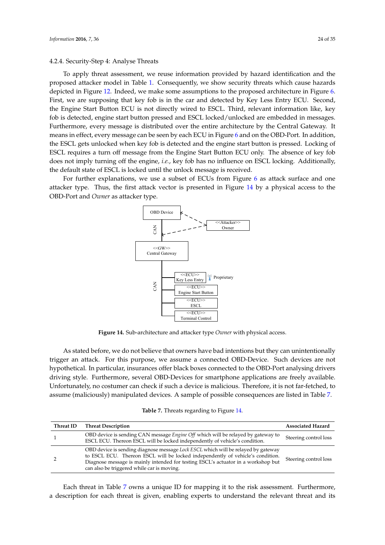# 4.2.4. Security-Step 4: Analyse Threats

To apply threat assessment, we reuse information provided by hazard identification and the proposed attacker model in Table [1.](#page-13-0) Consequently, we show security threats which cause hazards depicted in Figure [12.](#page-19-1) Indeed, we make some assumptions to the proposed architecture in Figure [6.](#page-12-0) First, we are supposing that key fob is in the car and detected by Key Less Entry ECU. Second, the Engine Start Button ECU is not directly wired to ESCL. Third, relevant information like, key fob is detected, engine start button pressed and ESCL locked/unlocked are embedded in messages. Furthermore, every message is distributed over the entire architecture by the Central Gateway. It means in effect, every message can be seen by each ECU in Figure [6](#page-12-0) and on the OBD-Port. In addition, the ESCL gets unlocked when key fob is detected and the engine start button is pressed. Locking of ESCL requires a turn off message from the Engine Start Button ECU only. The absence of key fob does not imply turning off the engine, *i.e.*, key fob has no influence on ESCL locking. Additionally, the default state of ESCL is locked until the unlock message is received.

<span id="page-23-0"></span>For further explanations, we use a subset of ECUs from Figure [6](#page-12-0) as attack surface and one attacker type. Thus, the first attack vector is presented in Figure [14](#page-23-0) by a physical access to the OBD-Port and *Owner* as attacker type.



**Figure 14.** Sub-architecture and attacker type *Owner* with physical access.

As stated before, we do not believe that owners have bad intentions but they can unintentionally trigger an attack. For this purpose, we assume a connected OBD-Device. Such devices are not hypothetical. In particular, insurances offer black boxes connected to the OBD-Port analysing drivers driving style. Furthermore, several OBD-Devices for smartphone applications are freely available. Unfortunately, no costumer can check if such a device is malicious. Therefore, it is not far-fetched, to assume (maliciously) manipulated devices. A sample of possible consequences are listed in Table [7.](#page-23-1)

|  |  | <b>Table 7.</b> Threats regarding to Figure 14. |  |  |
|--|--|-------------------------------------------------|--|--|
|--|--|-------------------------------------------------|--|--|

<span id="page-23-1"></span>

| Threat ID | <b>Threat Description</b>                                                                                                                                                                                                                                                                                     | <b>Associated Hazard</b> |
|-----------|---------------------------------------------------------------------------------------------------------------------------------------------------------------------------------------------------------------------------------------------------------------------------------------------------------------|--------------------------|
|           | OBD device is sending CAN message <i>Engine Off</i> which will be relayed by gateway to<br>ESCL ECU. Thereon ESCL will be locked independently of vehicle's condition.                                                                                                                                        | Steering control loss    |
|           | OBD device is sending diagnose message <i>Lock ESCL</i> which will be relayed by gateway<br>to ESCL ECU. Thereon ESCL will be locked independently of vehicle's condition.<br>Diagnose message is mainly intended for testing ESCL's actuator in a workshop but<br>can also be triggered while car is moving. | Steering control loss    |

Each threat in Table [7](#page-23-1) owns a unique ID for mapping it to the risk assessment. Furthermore, a description for each threat is given, enabling experts to understand the relevant threat and its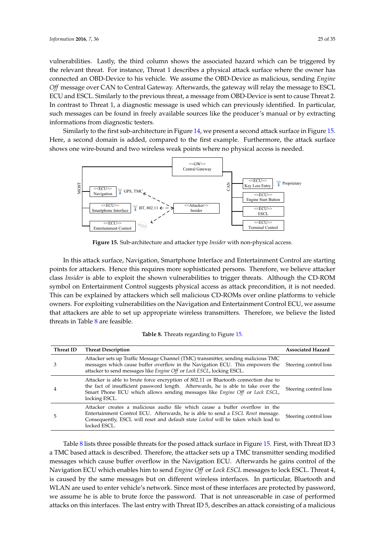vulnerabilities. Lastly, the third column shows the associated hazard which can be triggered by the relevant threat. For instance, Threat 1 describes a physical attack surface where the owner has connected an OBD-Device to his vehicle. We assume the OBD-Device as malicious, sending *Engine Off* message over CAN to Central Gateway. Afterwards, the gateway will relay the message to ESCL ECU and ESCL. Similarly to the previous threat, a message from OBD-Device is sent to cause Threat 2. In contrast to Threat 1, a diagnostic message is used which can previously identified. In particular, such messages can be found in freely available sources like the producer's manual or by extracting informations from diagnostic testers.

Similarly to the first sub-architecture in Figure [14,](#page-23-0) we present a second attack surface in Figure [15.](#page-24-0) Here, a second domain is added, compared to the first example. Furthermore, the attack surface shows one wire-bound and two wireless weak points where no physical access is needed.

<span id="page-24-0"></span>

**Figure 15.** Sub-architecture and attacker type *Insider* with non-physical access.

In this attack surface, Navigation, Smartphone Interface and Entertainment Control are starting points for attackers. Hence this requires more sophisticated persons. Therefore, we believe attacker class *Insider* is able to exploit the shown vulnerabilities to trigger threats. Although the CD-ROM symbol on Entertainment Control suggests physical access as attack precondition, it is not needed. This can be explained by attackers which sell malicious CD-ROMs over online platforms to vehicle owners. For exploiting vulnerabilities on the Navigation and Entertainment Control ECU, we assume that attackers are able to set up appropriate wireless transmitters. Therefore, we believe the listed threats in Table [8](#page-24-1) are feasible.

<span id="page-24-1"></span>

| <b>Threat ID</b> | <b>Threat Description</b>                                                                                                                                                                                                                                                               | <b>Associated Hazard</b> |
|------------------|-----------------------------------------------------------------------------------------------------------------------------------------------------------------------------------------------------------------------------------------------------------------------------------------|--------------------------|
| 3                | Attacker sets up Traffic Message Channel (TMC) transmitter, sending malicious TMC<br>messages which cause buffer overflow in the Navigation ECU. This empowers the<br>attacker to send messages like Engine Off or Lock ESCL, locking ESCL.                                             | Steering control loss    |
| 4                | Attacker is able to brute force encryption of 802.11 or Bluetooth connection due to<br>the fact of insufficient password length. Afterwards, he is able to take over the<br>Smart Phone ECU which allows sending messages like <i>Engine Off</i> or <i>Lock ESCL</i> ,<br>locking ESCL. | Steering control loss    |
| 5                | Attacker creates a malicious audio file which cause a buffer overflow in the<br>Entertainment Control ECU. Afterwards, he is able to send a <i>ESCL Reset</i> message.<br>Consequently, ESCL will reset and default state <i>Locked</i> will be taken which lead to<br>locked ESCL.     | Steering control loss    |

**Table 8.** Threats regarding to Figure [15.](#page-24-0)

Table [8](#page-24-1) lists three possible threats for the posed attack surface in Figure [15.](#page-24-0) First, with Threat ID 3 a TMC based attack is described. Therefore, the attacker sets up a TMC transmitter sending modified messages which cause buffer overflow in the Navigation ECU. Afterwards he gains control of the Navigation ECU which enables him to send *Engine Off* or *Lock ESCL* messages to lock ESCL. Threat 4, is caused by the same messages but on different wireless interfaces. In particular, Bluetooth and WLAN are used to enter vehicle's network. Since most of these interfaces are protected by password, we assume he is able to brute force the password. That is not unreasonable in case of performed attacks on this interfaces. The last entry with Threat ID 5, describes an attack consisting of a malicious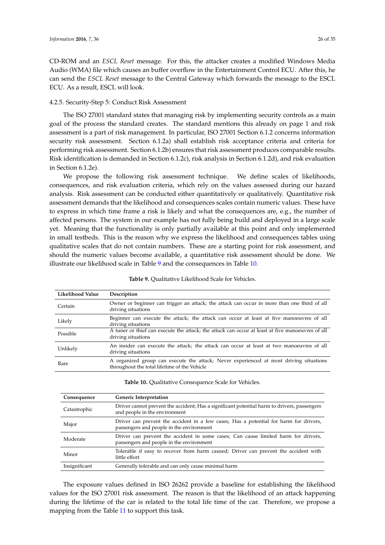CD-ROM and an *ESCL Reset* message. For this, the attacker creates a modified Windows Media Audio (WMA) file which causes an buffer overflow in the Entertainment Control ECU. After this, he can send the *ESCL Reset* message to the Central Gateway which forwards the message to the ESCL ECU. As a result, ESCL will look.

# 4.2.5. Security-Step 5: Conduct Risk Assessment

The ISO 27001 standard states that managing risk by implementing security controls as a main goal of the process the standard creates. The standard mentions this already on page 1 and risk assessment is a part of risk management. In particular, ISO 27001 Section 6.1.2 concerns information security risk assessment. Section 6.1.2a) shall establish risk acceptance criteria and criteria for performing risk assessment. Section 6.1.2b) ensures that risk assessment produces comparable results. Risk identification is demanded in Section 6.1.2c), risk analysis in Section 6.1.2d), and risk evaluation in Section 6.1.2e).

We propose the following risk assessment technique. We define scales of likelihoods, consequences, and risk evaluation criteria, which rely on the values assessed during our hazard analysis. Risk assessment can be conducted either quantitatively or qualitatively. Quantitative risk assessment demands that the likelihood and consequences scales contain numeric values. These have to express in which time frame a risk is likely and what the consequences are, e.g., the number of affected persons. The system in our example has not fully being build and deployed in a large scale yet. Meaning that the functionality is only partially available at this point and only implemented in small testbeds. This is the reason why we express the likelihood and consequences tables using qualitative scales that do not contain numbers. These are a starting point for risk assessment, and should the numeric values become available, a quantitative risk assessment should be done. We illustrate our likelihood scale in Table [9](#page-25-0) and the consequences in Table [10.](#page-25-1)

<span id="page-25-0"></span>

| Likelihood Value | Description                                                                                                                            |
|------------------|----------------------------------------------------------------------------------------------------------------------------------------|
| Certain          | Owner or beginner can trigger an attack; the attack can occur in more than one third of all<br>driving situations                      |
| Likely           | Beginner can execute the attack; the attack can occur at least at five manoeuvres of all<br>driving situations                         |
| Possible         | A tuner or thief can execute the attack; the attack can occur at least at five manoeuvres of all<br>driving situations                 |
| Unlikely         | An insider can execute the attack; the attack can occur at least at two manoeuvres of all<br>driving situations                        |
| Rare             | A organized group can execute the attack; Never experienced at most driving situations<br>throughout the total lifetime of the Vehicle |

#### **Table 9.** Qualitative Likelihood Scale for Vehicles.

| Table 10. Qualitative Consequence Scale for Vehicles. |  |
|-------------------------------------------------------|--|
|-------------------------------------------------------|--|

<span id="page-25-1"></span>

| Consequence   | <b>Generic Interpretation</b>                                                                                                     |
|---------------|-----------------------------------------------------------------------------------------------------------------------------------|
| Catastrophic  | Driver cannot prevent the accident; Has a significant potential harm to drivers, passengers<br>and people in the environment      |
| Major         | Driver can prevent the accident in a few cases; Has a potential for harm for drivers,<br>passengers and people in the environment |
| Moderate      | Driver can prevent the accident in some cases; Can cause limited harm for drivers,<br>passengers and people in the environment    |
| Minor         | Tolerable if easy to recover from harm caused; Driver can prevent the accident with<br>little effort                              |
| Insignificant | Generally tolerable and can only cause minimal harm                                                                               |

The exposure values defined in ISO 26262 provide a baseline for establishing the likelihood values for the ISO 27001 risk assessment. The reason is that the likelihood of an attack happening during the lifetime of the car is related to the total life time of the car. Therefore, we propose a mapping from the Table [11](#page-26-0) to support this task.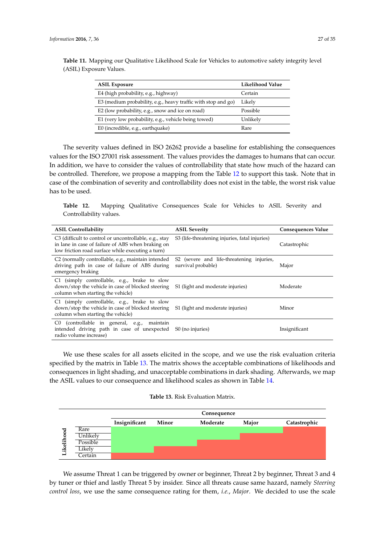| <b>ASIL Exposure</b>                                          | Likelihood Value |
|---------------------------------------------------------------|------------------|
| E4 (high probability, e.g., highway)                          | Certain          |
| E3 (medium probability, e.g., heavy traffic with stop and go) | Likely           |
| E2 (low probability, e.g., snow and ice on road)              | Possible         |
| E1 (very low probability, e.g., vehicle being towed)          | Unlikely         |

<span id="page-26-0"></span>**Table 11.** Mapping our Qualitative Likelihood Scale for Vehicles to automotive safety integrity level (ASIL) Exposure Values.

The severity values defined in ISO 26262 provide a baseline for establishing the consequences values for the ISO 27001 risk assessment. The values provides the damages to humans that can occur. In addition, we have to consider the values of controllability that state how much of the hazard can be controlled. Therefore, we propose a mapping from the Table [12](#page-26-1) to support this task. Note that in case of the combination of severity and controllability does not exist in the table, the worst risk value has to be used.

E0 (incredible, e.g., earthquake) Rare

<span id="page-26-1"></span>**Table 12.** Mapping Qualitative Consequences Scale for Vehicles to ASIL Severity and Controllability values.

| <b>ASIL Controllability</b>                                                                                                                                      | <b>ASIL Severity</b>                                            | <b>Consequences Value</b> |
|------------------------------------------------------------------------------------------------------------------------------------------------------------------|-----------------------------------------------------------------|---------------------------|
| C3 (difficult to control or uncontrollable, e.g., stay<br>in lane in case of failure of ABS when braking on<br>low friction road surface while executing a turn) | S3 (life-threatening injuries, fatal injuries)                  | Catastrophic              |
| C <sub>2</sub> (normally controllable, e.g., maintain intended<br>driving path in case of failure of ABS during<br>emergency braking                             | S2 (severe and life-threatening injuries,<br>survival probable) | Major                     |
| C1 (simply controllable, e.g., brake to slow<br>down/stop the vehicle in case of blocked steering<br>column when starting the vehicle)                           | S1 (light and moderate injuries)                                | Moderate                  |
| C1 (simply controllable, e.g., brake to slow<br>down/stop the vehicle in case of blocked steering<br>column when starting the vehicle)                           | S1 (light and moderate injuries)                                | Minor                     |
| C0 (controllable in general, e.g., maintain<br>intended driving path in case of unexpected<br>radio volume increase)                                             | S0 (no injuries)                                                | Insignificant             |

We use these scales for all assets elicited in the scope, and we use the risk evaluation criteria specified by the matrix in Table [13.](#page-26-2) The matrix shows the acceptable combinations of likelihoods and consequences in light shading, and unacceptable combinations in dark shading. Afterwards, we map the ASIL values to our consequence and likelihood scales as shown in Table [14.](#page-27-0)

# **Table 13.** Risk Evaluation Matrix.

<span id="page-26-2"></span>

We assume Threat 1 can be triggered by owner or beginner, Threat 2 by beginner, Threat 3 and 4 by tuner or thief and lastly Threat 5 by insider. Since all threats cause same hazard, namely *Steering control loss*, we use the same consequence rating for them, *i.e.*, *Major*. We decided to use the scale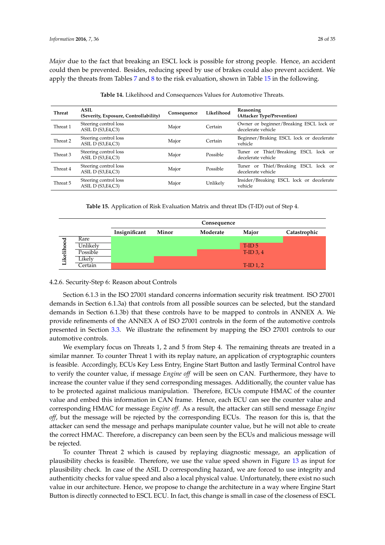*Major* due to the fact that breaking an ESCL lock is possible for strong people. Hence, an accident could then be prevented. Besides, reducing speed by use of brakes could also prevent accident. We apply the threats from Tables [7](#page-23-1) and [8](#page-24-1) to the risk evaluation, shown in Table [15](#page-27-1) in the following.

<span id="page-27-0"></span>

| <b>Threat</b> | <b>ASIL</b><br>(Severity, Exposure, Controllability) | Consequence | Likelihood | Reasoning<br>(Attacker Type/Prevention)                       |
|---------------|------------------------------------------------------|-------------|------------|---------------------------------------------------------------|
| Threat 1      | Steering control loss<br>ASIL D $(S3,E4,C3)$         | Major       | Certain    | Owner or beginner/Breaking ESCL lock or<br>decelerate vehicle |
| Threat 2      | Steering control loss<br>ASIL D $(S3, E4, C3)$       | Major       | Certain    | Beginner/Braking ESCL lock or decelerate<br>vehicle           |
| Threat 3      | Steering control loss<br>ASIL D $(S3,E4,C3)$         | Major       | Possible   | Tuner or Thief/Breaking ESCL<br>lock or<br>decelerate vehicle |
| Threat 4      | Steering control loss<br>ASIL D $(S3,E4,C3)$         | Major       | Possible   | Tuner or Thief/Breaking ESCL lock or<br>decelerate vehicle    |
| Threat 5      | Steering control loss<br>ASIL D $(S3,E4,C3)$         | Major       | Unlikely   | Insider/Breaking ESCL lock or decelerate<br>vehicle           |

**Table 14.** Likelihood and Consequences Values for Automotive Threats.

**Table 15.** Application of Risk Evaluation Matrix and threat IDs (T-ID) out of Step 4.

<span id="page-27-1"></span>

|       |          |               |       | Consequence |              |              |
|-------|----------|---------------|-------|-------------|--------------|--------------|
|       |          | Insignificant | Minor | Moderate    | Major        | Catastrophic |
|       | Rare     |               |       |             |              |              |
| 高     | Unlikely |               |       |             | $T-ID 5$     |              |
|       | Possible |               |       |             | $T$ -ID 3, 4 |              |
| 点<br> | Likely   |               |       |             |              |              |
|       | Certain  |               |       |             | $T$ -ID 1, 2 |              |

#### 4.2.6. Security-Step 6: Reason about Controls

Section 6.1.3 in the ISO 27001 standard concerns information security risk treatment. ISO 27001 demands in Section 6.1.3a) that controls from all possible sources can be selected, but the standard demands in Section 6.1.3b) that these controls have to be mapped to controls in ANNEX A. We provide refinements of the ANNEX A of ISO 27001 controls in the form of the automotive controls presented in Section [3.3.](#page-14-1) We illustrate the refinement by mapping the ISO 27001 controls to our automotive controls.

We exemplary focus on Threats 1, 2 and 5 from Step 4. The remaining threats are treated in a similar manner. To counter Threat 1 with its replay nature, an application of cryptographic counters is feasible. Accordingly, ECUs Key Less Entry, Engine Start Button and lastly Terminal Control have to verify the counter value, if message *Engine off* will be seen on CAN. Furthermore, they have to increase the counter value if they send corresponding messages. Additionally, the counter value has to be protected against malicious manipulation. Therefore, ECUs compute HMAC of the counter value and embed this information in CAN frame. Hence, each ECU can see the counter value and corresponding HMAC for message *Engine off*. As a result, the attacker can still send message *Engine off*, but the message will be rejected by the corresponding ECUs. The reason for this is, that the attacker can send the message and perhaps manipulate counter value, but he will not able to create the correct HMAC. Therefore, a discrepancy can been seen by the ECUs and malicious message will be rejected.

To counter Threat 2 which is caused by replaying diagnostic message, an application of plausibility checks is feasible. Therefore, we use the value speed shown in Figure [13](#page-21-0) as input for plausibility check. In case of the ASIL D corresponding hazard, we are forced to use integrity and authenticity checks for value speed and also a local physical value. Unfortunately, there exist no such value in our architecture. Hence, we propose to change the architecture in a way where Engine Start Button is directly connected to ESCL ECU. In fact, this change is small in case of the closeness of ESCL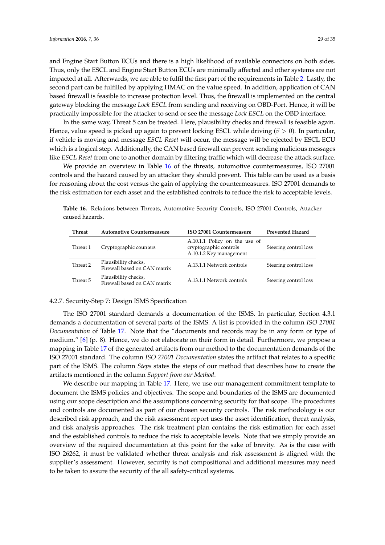and Engine Start Button ECUs and there is a high likelihood of available connectors on both sides. Thus, only the ESCL and Engine Start Button ECUs are minimally affected and other systems are not impacted at all. Afterwards, we are able to fulfil the first part of the requirements in Table [2.](#page-14-0) Lastly, the second part can be fulfilled by applying HMAC on the value speed. In addition, application of CAN based firewall is feasible to increase protection level. Thus, the firewall is implemented on the central gateway blocking the message *Lock ESCL* from sending and receiving on OBD-Port. Hence, it will be practically impossible for the attacker to send or see the message *Lock ESCL* on the OBD interface.

In the same way, Threat 5 can be treated. Here, plausibility checks and firewall is feasible again. Hence, value speed is picked up again to prevent locking ESCL while driving ( $\vec{v} > 0$ ). In particular, if vehicle is moving and message *ESCL Reset* will occur, the message will be rejected by ESCL ECU which is a logical step. Additionally, the CAN based firewall can prevent sending malicious messages like *ESCL Reset* from one to another domain by filtering traffic which will decrease the attack surface.

We provide an overview in Table [16](#page-28-0) of the threats, automotive countermeasures, ISO 27001 controls and the hazard caused by an attacker they should prevent. This table can be used as a basis for reasoning about the cost versus the gain of applying the countermeasures. ISO 27001 demands to the risk estimation for each asset and the established controls to reduce the risk to acceptable levels.

| Threat   | <b>Automotive Countermeasure</b>                     | ISO 27001 Countermeasure                                                           | <b>Prevented Hazard</b> |
|----------|------------------------------------------------------|------------------------------------------------------------------------------------|-------------------------|
| Threat 1 | Cryptographic counters                               | A.10.1.1 Policy on the use of<br>cryptographic controls<br>A.10.1.2 Key management | Steering control loss   |
| Threat 2 | Plausibility checks,<br>Firewall based on CAN matrix | A.13.1.1 Network controls                                                          | Steering control loss   |
| Threat 5 | Plausibility checks,<br>Firewall based on CAN matrix | A.13.1.1 Network controls                                                          | Steering control loss   |

<span id="page-28-0"></span>**Table 16.** Relations between Threats, Automotive Security Controls, ISO 27001 Controls, Attacker caused hazards.

#### 4.2.7. Security-Step 7: Design ISMS Specification

The ISO 27001 standard demands a documentation of the ISMS. In particular, Section 4.3.1 demands a documentation of several parts of the ISMS. A list is provided in the column *ISO 27001 Documentation* of Table [17.](#page-29-0) Note that the "documents and records may be in any form or type of medium." [\[6\]](#page-32-5) (p. 8). Hence, we do not elaborate on their form in detail. Furthermore, we propose a mapping in Table [17](#page-29-0) of the generated artifacts from our method to the documentation demands of the ISO 27001 standard. The column *ISO 27001 Documentation* states the artifact that relates to a specific part of the ISMS. The column *Steps* states the steps of our method that describes how to create the artifacts mentioned in the column *Support from our Method*.

We describe our mapping in Table [17.](#page-29-0) Here, we use our management commitment template to document the ISMS policies and objectives. The scope and boundaries of the ISMS are documented using our scope description and the assumptions concerning security for that scope. The procedures and controls are documented as part of our chosen security controls. The risk methodology is our described risk approach, and the risk assessment report uses the asset identification, threat analysis, and risk analysis approaches. The risk treatment plan contains the risk estimation for each asset and the established controls to reduce the risk to acceptable levels. Note that we simply provide an overview of the required documentation at this point for the sake of brevity. As is the case with ISO 26262, it must be validated whether threat analysis and risk assessment is aligned with the supplier's assessment. However, security is not compositional and additional measures may need to be taken to assure the security of the all safety-critical systems.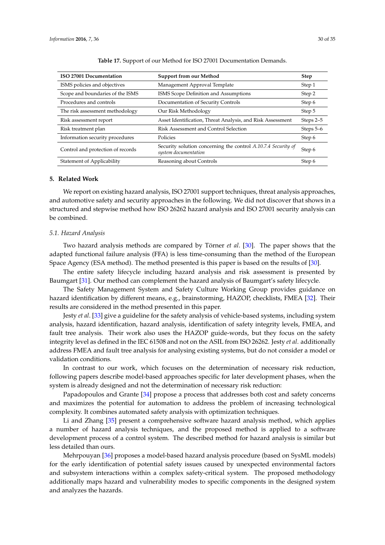<span id="page-29-0"></span>

| <b>ISO 27001 Documentation</b>    | <b>Support from our Method</b>                                                        | <b>Step</b> |
|-----------------------------------|---------------------------------------------------------------------------------------|-------------|
| ISMS policies and objectives      | Management Approval Template                                                          | Step 1      |
| Scope and boundaries of the ISMS  | ISMS Scope Definition and Assumptions                                                 | Step 2      |
| Procedures and controls           | Documentation of Security Controls                                                    | Step 6      |
| The risk assessment methodology   | Our Risk Methodology                                                                  | Step 5      |
| Risk assessment report            | Asset Identification, Threat Analysis, and Risk Assessment                            | Steps 2–5   |
| Risk treatment plan               | Risk Assessment and Control Selection                                                 | Steps 5–6   |
| Information security procedures   | Policies                                                                              | Step 6      |
| Control and protection of records | Security solution concerning the control A.10.7.4 Security of<br>system documentation | Step 6      |
| Statement of Applicability        | Reasoning about Controls                                                              | Step 6      |

**Table 17.** Support of our Method for ISO 27001 Documentation Demands.

#### **5. Related Work**

We report on existing hazard analysis, ISO 27001 support techniques, threat analysis approaches, and automotive safety and security approaches in the following. We did not discover that shows in a structured and stepwise method how ISO 26262 hazard analysis and ISO 27001 security analysis can be combined.

## *5.1. Hazard Analysis*

Two hazard analysis methods are compared by Törner *et al*. [\[30\]](#page-33-9). The paper shows that the adapted functional failure analysis (FFA) is less time-consuming than the method of the European Space Agency (ESA method). The method presented is this paper is based on the results of [\[30\]](#page-33-9).

The entire safety lifecycle including hazard analysis and risk assessment is presented by Baumgart [\[31\]](#page-33-10). Our method can complement the hazard analysis of Baumgart's safety lifecycle.

The Safety Management System and Safety Culture Working Group provides guidance on hazard identification by different means, e.g., brainstorming, HAZOP, checklists, FMEA [\[32\]](#page-33-11). Their results are considered in the method presented in this paper.

Jesty *et al*. [\[33\]](#page-33-12) give a guideline for the safety analysis of vehicle-based systems, including system analysis, hazard identification, hazard analysis, identification of safety integrity levels, FMEA, and fault tree analysis. Their work also uses the HAZOP guide-words, but they focus on the safety integrity level as defined in the IEC 61508 and not on the ASIL from ISO 26262. Jesty *et al*. additionally address FMEA and fault tree analysis for analysing existing systems, but do not consider a model or validation conditions.

In contrast to our work, which focuses on the determination of necessary risk reduction, following papers describe model-based approaches specific for later development phases, when the system is already designed and not the determination of necessary risk reduction:

Papadopoulos and Grante [\[34\]](#page-33-13) propose a process that addresses both cost and safety concerns and maximizes the potential for automation to address the problem of increasing technological complexity. It combines automated safety analysis with optimization techniques.

Li and Zhang [\[35\]](#page-33-14) present a comprehensive software hazard analysis method, which applies a number of hazard analysis techniques, and the proposed method is applied to a software development process of a control system. The described method for hazard analysis is similar but less detailed than ours.

Mehrpouyan [\[36\]](#page-33-15) proposes a model-based hazard analysis procedure (based on SysML models) for the early identification of potential safety issues caused by unexpected environmental factors and subsystem interactions within a complex safety-critical system. The proposed methodology additionally maps hazard and vulnerability modes to specific components in the designed system and analyzes the hazards.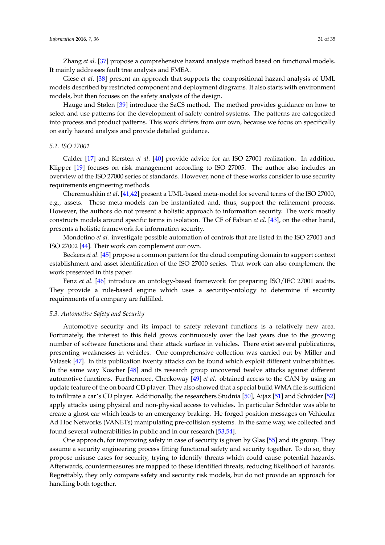Zhang *et al*. [\[37\]](#page-33-16) propose a comprehensive hazard analysis method based on functional models. It mainly addresses fault tree analysis and FMEA.

Giese *et al*. [\[38\]](#page-33-17) present an approach that supports the compositional hazard analysis of UML models described by restricted component and deployment diagrams. It also starts with environment models, but then focuses on the safety analysis of the design.

Hauge and Stølen [\[39\]](#page-33-18) introduce the SaCS method. The method provides guidance on how to select and use patterns for the development of safety control systems. The patterns are categorized into process and product patterns. This work differs from our own, because we focus on specifically on early hazard analysis and provide detailed guidance.

#### *5.2. ISO 27001*

Calder [\[17\]](#page-32-16) and Kersten *et al*. [\[40\]](#page-33-19) provide advice for an ISO 27001 realization. In addition, Klipper [\[19\]](#page-32-18) focuses on risk management according to ISO 27005. The author also includes an overview of the ISO 27000 series of standards. However, none of these works consider to use security requirements engineering methods.

Cheremushkin *et al*. [\[41](#page-33-20)[,42\]](#page-33-21) present a UML-based meta-model for several terms of the ISO 27000, e.g., assets. These meta-models can be instantiated and, thus, support the refinement process. However, the authors do not present a holistic approach to information security. The work mostly constructs models around specific terms in isolation. The CF of Fabian *et al*. [\[43\]](#page-33-22), on the other hand, presents a holistic framework for information security.

Mondetino *et al*. investigate possible automation of controls that are listed in the ISO 27001 and ISO 27002 [\[44\]](#page-33-23). Their work can complement our own.

Beckers *et al*. [\[45\]](#page-34-0) propose a common pattern for the cloud computing domain to support context establishment and asset identification of the ISO 27000 series. That work can also complement the work presented in this paper.

Fenz *et al*. [\[46\]](#page-34-1) introduce an ontology-based framework for preparing ISO/IEC 27001 audits. They provide a rule-based engine which uses a security-ontology to determine if security requirements of a company are fulfilled.

# *5.3. Automotive Safety and Security*

Automotive security and its impact to safety relevant functions is a relatively new area. Fortunately, the interest to this field grows continuously over the last years due to the growing number of software functions and their attack surface in vehicles. There exist several publications, presenting weaknesses in vehicles. One comprehensive collection was carried out by Miller and Valasek [\[47\]](#page-34-2). In this publication twenty attacks can be found which exploit different vulnerabilities. In the same way Koscher [\[48\]](#page-34-3) and its research group uncovered twelve attacks against different automotive functions. Furthermore, Checkoway [\[49\]](#page-34-4) *et al*. obtained access to the CAN by using an update feature of the on board CD player. They also showed that a special build WMA file is sufficient to infiltrate a car's CD player. Additionally, the researchers Studnia [\[50\]](#page-34-5), Aijaz [\[51\]](#page-34-6) and Schröder [\[52\]](#page-34-7) apply attacks using physical and non-physical access to vehicles. In particular Schröder was able to create a ghost car which leads to an emergency braking. He forged position messages on Vehicular Ad Hoc Networks (VANETs) manipulating pre-collision systems. In the same way, we collected and found several vulnerabilities in public and in our research [\[53](#page-34-8)[,54\]](#page-34-9).

One approach, for improving safety in case of security is given by Glas [\[55\]](#page-34-10) and its group. They assume a security engineering process fitting functional safety and security together. To do so, they propose misuse cases for security, trying to identify threats which could cause potential hazards. Afterwards, countermeasures are mapped to these identified threats, reducing likelihood of hazards. Regrettably, they only compare safety and security risk models, but do not provide an approach for handling both together.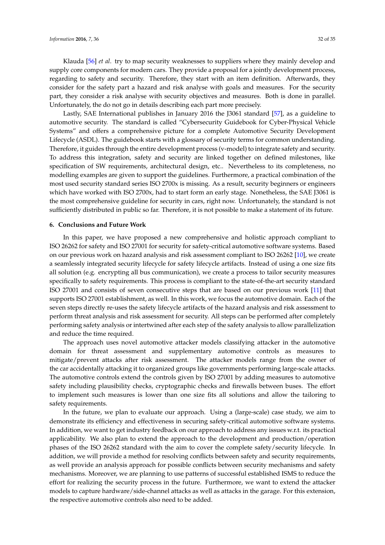Klauda [\[56\]](#page-34-11) *et al*. try to map security weaknesses to suppliers where they mainly develop and supply core components for modern cars. They provide a proposal for a jointly development process, regarding to safety and security. Therefore, they start with an item definition. Afterwards, they consider for the safety part a hazard and risk analyse with goals and measures. For the security part, they consider a risk analyse with security objectives and measures. Both is done in parallel. Unfortunately, the do not go in details describing each part more precisely.

Lastly, SAE International publishes in January 2016 the J3061 standard [\[57\]](#page-34-12), as a guideline to automotive security. The standard is called "Cybersecurity Guidebook for Cyber-Physical Vehicle Systems" and offers a comprehensive picture for a complete Automotive Security Development Lifecycle (ASDL). The guidebook starts with a glossary of security terms for common understanding. Therefore, it guides through the entire development process (v-model) to integrate safety and security. To address this integration, safety and security are linked together on defined milestones, like specification of SW requirements, architectural design, etc.. Nevertheless to its completeness, no modelling examples are given to support the guidelines. Furthermore, a practical combination of the most used security standard series ISO 2700x is missing. As a result, security beginners or engineers which have worked with ISO 2700x, had to start form an early stage. Nonetheless, the SAE J3061 is the most comprehensive guideline for security in cars, right now. Unfortunately, the standard is not sufficiently distributed in public so far. Therefore, it is not possible to make a statement of its future.

#### **6. Conclusions and Future Work**

In this paper, we have proposed a new comprehensive and holistic approach compliant to ISO 26262 for safety and ISO 27001 for security for safety-critical automotive software systems. Based on our previous work on hazard analysis and risk assessment compliant to ISO 26262 [\[10\]](#page-32-9), we create a seamlessly integrated security lifecycle for safety lifecycle artifacts. Instead of using a one size fits all solution (e.g. encrypting all bus communication), we create a process to tailor security measures specifically to safety requirements. This process is compliant to the state-of-the-art security standard ISO 27001 and consists of seven consecutive steps that are based on our previous work [\[11\]](#page-32-10) that supports ISO 27001 establishment, as well. In this work, we focus the automotive domain. Each of the seven steps directly re-uses the safety lifecycle artifacts of the hazard analysis and risk assessment to perform threat analysis and risk assessment for security. All steps can be performed after completely performing safety analysis or intertwined after each step of the safety analysis to allow parallelization and reduce the time required.

The approach uses novel automotive attacker models classifying attacker in the automotive domain for threat assessment and supplementary automotive controls as measures to mitigate/prevent attacks after risk assessment. The attacker models range from the owner of the car accidentally attacking it to organized groups like governments performing large-scale attacks. The automotive controls extend the controls given by ISO 27001 by adding measures to automotive safety including plausibility checks, cryptographic checks and firewalls between buses. The effort to implement such measures is lower than one size fits all solutions and allow the tailoring to safety requirements.

In the future, we plan to evaluate our approach. Using a (large-scale) case study, we aim to demonstrate its efficiency and effectiveness in securing safety-critical automotive software systems. In addition, we want to get industry feedback on our approach to address any issues w.r.t. its practical applicability. We also plan to extend the approach to the development and production/operation phases of the ISO 26262 standard with the aim to cover the complete safety/security lifecycle. In addition, we will provide a method for resolving conflicts between safety and security requirements, as well provide an analysis approach for possible conflicts between security mechanisms and safety mechanisms. Moreover, we are planning to use patterns of successful established ISMS to reduce the effort for realizing the security process in the future. Furthermore, we want to extend the attacker models to capture hardware/side-channel attacks as well as attacks in the garage. For this extension, the respective automotive controls also need to be added.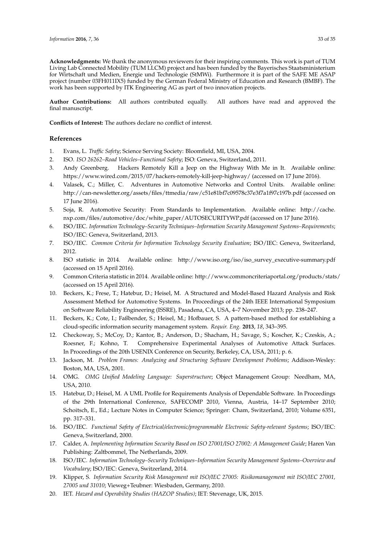**Acknowledgments:** We thank the anonymous reviewers for their inspiring comments. This work is part of TUM Living Lab Connected Mobility (TUM LLCM) project and has been funded by the Bayerisches Staatsministerium for Wirtschaft und Medien, Energie und Technologie (StMWi). Furthermore it is part of the SAFE ME ASAP project (number 03FH011IX5) funded by the German Federal Ministry of Education and Research (BMBF). The work has been supported by ITK Engineering AG as part of two innovation projects.

**Author Contributions:** All authors contributed equally. All authors have read and approved the final manuscript.

**Conflicts of Interest:** The authors declare no conflict of interest.

# **References**

- <span id="page-32-0"></span>1. Evans, L. *Traffic Safety*; Science Serving Society: Bloomfield, MI, USA, 2004.
- <span id="page-32-1"></span>2. ISO. *ISO 26262–Road Vehicles–Functional Safety*; ISO: Geneva, Switzerland, 2011.
- <span id="page-32-2"></span>3. Andy Greenberg. Hackers Remotely Kill a Jeep on the Highway With Me in It. Available online: https://www.wired.com/2015/07/hackers-remotely-kill-jeep-highway/ (accessed on 17 June 2016).
- <span id="page-32-3"></span>4. Valasek, C.; Miller, C. Adventures in Automotive Networks and Control Units. Available online: http://can-newsletter.org/assets/files/ttmedia/raw/c51e81bf7c09578c37e3f7a1f97c197b.pdf (accessed on 17 June 2016).
- <span id="page-32-4"></span>5. Soja, R. Automotive Security: From Standards to Implementation. Available online: http://cache. nxp.com/files/automotive/doc/white\_paper/AUTOSECURITYWP.pdf (accessed on 17 June 2016).
- <span id="page-32-5"></span>6. ISO/IEC. *Information Technology–Security Techniques–Information Security Management Systems–Requirements*; ISO/IEC: Geneva, Switzerland, 2013.
- <span id="page-32-6"></span>7. ISO/IEC. *Common Criteria for Information Technology Security Evaluation*; ISO/IEC: Geneva, Switzerland, 2012.
- <span id="page-32-7"></span>8. ISO statistic in 2014. Available online: http://www.iso.org/iso/iso\_survey\_executive-summary.pdf (accessed on 15 April 2016).
- <span id="page-32-8"></span>9. Common Criteria statistic in 2014. Available online: http://www.commoncriteriaportal.org/products/stats/ (accessed on 15 April 2016).
- <span id="page-32-9"></span>10. Beckers, K.; Frese, T.; Hatebur, D.; Heisel, M. A Structured and Model-Based Hazard Analysis and Risk Assessment Method for Automotive Systems. In Proceedings of the 24th IEEE International Symposium on Software Reliability Engineering (ISSRE), Pasadena, CA, USA, 4–7 November 2013; pp. 238–247.
- <span id="page-32-10"></span>11. Beckers, K.; Cote, I.; Faßbender, S.; Heisel, M.; Hofbauer, S. A pattern-based method for establishing a cloud-specific information security management system. *Requir. Eng.* **2013**, *18*, 343–395.
- <span id="page-32-11"></span>12. Checkoway, S.; McCoy, D.; Kantor, B.; Anderson, D.; Shacham, H.; Savage, S.; Koscher, K.; Czeskis, A.; Roesner, F.; Kohno, T. Comprehensive Experimental Analyses of Automotive Attack Surfaces. In Proceedings of the 20th USENIX Conference on Security, Berkeley, CA, USA, 2011; p. 6.
- <span id="page-32-12"></span>13. Jackson, M. *Problem Frames: Analyzing and Structuring Software Development Problems*; Addison-Wesley: Boston, MA, USA, 2001.
- <span id="page-32-13"></span>14. OMG. *OMG Unified Modeling Language: Superstructure*; Object Management Group: Needham, MA, USA, 2010.
- <span id="page-32-14"></span>15. Hatebur, D.; Heisel, M. A UML Profile for Requirements Analysis of Dependable Software. In Proceedings of the 29th International Conference, SAFECOMP 2010, Vienna, Austria, 14–17 September 2010; Schoitsch, E., Ed.; Lecture Notes in Computer Science; Springer: Cham, Switzerland, 2010; Volume 6351, pp. 317–331.
- <span id="page-32-15"></span>16. ISO/IEC. *Functional Safety of Electrical/electronic/programmable Electronic Safety-relevant Systems*; ISO/IEC: Geneva, Switzerland, 2000.
- <span id="page-32-16"></span>17. Calder, A. *Implementing Information Security Based on ISO 27001/ISO 27002: A Management Guide*; Haren Van Publishing: Zaltbommel, The Netherlands, 2009.
- <span id="page-32-17"></span>18. ISO/IEC. *Information Technology–Security Techniques–Information Security Management Systems–Overview and Vocabulary*; ISO/IEC: Geneva, Switzerland, 2014.
- <span id="page-32-18"></span>19. Klipper, S. *Information Security Risk Management mit ISO/IEC 27005: Risikomanagement mit ISO/IEC 27001, 27005 und 31010*; Vieweg+Teubner: Wiesbaden, Germany, 2010.
- <span id="page-32-19"></span>20. IET. *Hazard and Operability Studies (HAZOP Studies)*; IET: Stevenage, UK, 2015.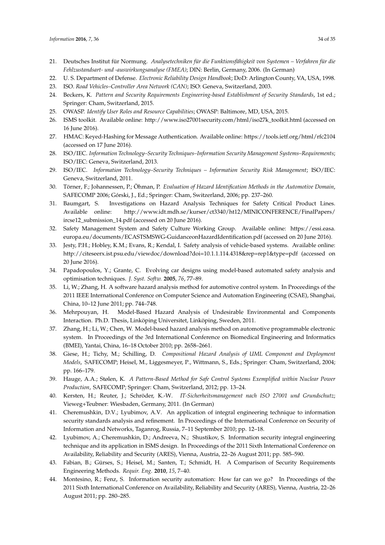- <span id="page-33-0"></span>21. Deutsches Institut für Normung. *Analysetechniken für die Funktionsfähigkeit von Systemen – Verfahren für die Fehlzustandsart- und -auswirkungsanalyse (FMEA)*; DIN: Berlin, Germany, 2006. (In German)
- <span id="page-33-1"></span>22. U. S. Department of Defense. *Electronic Reliability Design Handbook*; DoD: Arlington County, VA, USA, 1998.
- <span id="page-33-2"></span>23. ISO. *Road Vehicles–Controller Area Network (CAN)*; ISO: Geneva, Switzerland, 2003.
- <span id="page-33-3"></span>24. Beckers, K. *Pattern and Security Requirements Engineering-based Establishment of Security Standards*, 1st ed.; Springer: Cham, Switzerland, 2015.
- <span id="page-33-4"></span>25. OWASP. *Identify User Roles and Resource Capabilities*; OWASP: Baltimore, MD, USA, 2015.
- <span id="page-33-5"></span>26. ISMS toolkit. Available online: http://www.iso27001security.com/html/iso27k\_toolkit.html (accessed on 16 June 2016).
- <span id="page-33-6"></span>27. HMAC: Keyed-Hashing for Message Authentication. Available online: https://tools.ietf.org/html/rfc2104 (accessed on 17 June 2016).
- <span id="page-33-7"></span>28. ISO/IEC. *Information Technology–Security Techniques–Information Security Management Systems–Requirements*; ISO/IEC: Geneva, Switzerland, 2013.
- <span id="page-33-8"></span>29. ISO/IEC. *Information Technology–Security Techniques – Information Security Risk Management*; ISO/IEC: Geneva, Switzerland, 2011.
- <span id="page-33-9"></span>30. Törner, F.; Johannessen, P.; Öhman, P. *Evaluation of Hazard Identification Methods in the Automotive Domain*, SAFECOMP 2006; Górski, J., Ed.; Springer: Cham, Switzerland, 2006; pp. 237–260.
- <span id="page-33-10"></span>31. Baumgart, S. Investigations on Hazard Analysis Techniques for Safety Critical Product Lines. Available online: http://www.idt.mdh.se/kurser/ct3340/ht12/MINICONFERENCE/FinalPapers/ ircse12\_submission\_14.pdf (accessed on 20 June 2016).
- <span id="page-33-11"></span>32. Safety Management System and Safety Culture Working Group. Available online: https://essi.easa. europa.eu/documents/ECASTSMSWG-GuidanceonHazardIdentification.pdf (accessed on 20 June 2016).
- <span id="page-33-12"></span>33. Jesty, P.H.; Hobley, K.M.; Evans, R.; Kendal, I. Safety analysis of vehicle-based systems. Available online: http://citeseerx.ist.psu.edu/viewdoc/download?doi=10.1.1.114.4318&rep=rep1&type=pdf (accessed on 20 June 2016).
- <span id="page-33-13"></span>34. Papadopoulos, Y.; Grante, C. Evolving car designs using model-based automated safety analysis and optimisation techniques. *J. Syst. Softw.* **2005**, *76*, 77–89.
- <span id="page-33-14"></span>35. Li, W.; Zhang, H. A software hazard analysis method for automotive control system. In Proceedings of the 2011 IEEE International Conference on Computer Science and Automation Engineering (CSAE), Shanghai, China, 10–12 June 2011; pp. 744–748.
- <span id="page-33-15"></span>36. Mehrpouyan, H. Model-Based Hazard Analysis of Undesirable Environmental and Components Interaction. Ph.D. Thesis, Linköping Universitet, Linköping, Sweden, 2011.
- <span id="page-33-16"></span>37. Zhang, H.; Li, W.; Chen, W. Model-based hazard analysis method on automotive programmable electronic system. In Proceedings of the 3rd International Conference on Biomedical Engineering and Informatics (BMEI), Yantai, China, 16–18 October 2010; pp. 2658–2661.
- <span id="page-33-17"></span>38. Giese, H.; Tichy, M.; Schilling, D. *Compositional Hazard Analysis of UML Component and Deployment Models*, SAFECOMP; Heisel, M., Liggesmeyer, P., Wittmann, S., Eds.; Springer: Cham, Switzerland, 2004; pp. 166–179.
- <span id="page-33-18"></span>39. Hauge, A.A.; Stølen, K. *A Pattern-Based Method for Safe Control Systems Exemplified within Nuclear Power Production*, SAFECOMP; Springer: Cham, Switzerland, 2012; pp. 13–24.
- <span id="page-33-19"></span>40. Kersten, H.; Reuter, J.; Schröder, K.-W. *IT-Sicherheitsmanagement nach ISO 27001 und Grundschutz*; Vieweg+Teubner: Wiesbaden, Germany, 2011. (In German)
- <span id="page-33-20"></span>41. Cheremushkin, D.V.; Lyubimov, A.V. An application of integral engineering technique to information security standards analysis and refinement. In Proceedings of the International Conference on Security of Information and Networks, Taganrog, Russia, 7–11 September 2010; pp. 12–18.
- <span id="page-33-21"></span>42. Lyubimov, A.; Cheremushkin, D.; Andreeva, N.; Shustikov, S. Information security integral engineering technique and its application in ISMS design. In Proceedings of the 2011 Sixth International Conference on Availability, Reliability and Security (ARES), Vienna, Austria, 22–26 August 2011; pp. 585–590.
- <span id="page-33-22"></span>43. Fabian, B.; Gürses, S.; Heisel, M.; Santen, T.; Schmidt, H. A Comparison of Security Requirements Engineering Methods. *Requir. Eng.* **2010**, *15*, 7–40.
- <span id="page-33-23"></span>44. Montesino, R.; Fenz, S. Information security automation: How far can we go? In Proceedings of the 2011 Sixth International Conference on Availability, Reliability and Security (ARES), Vienna, Austria, 22–26 August 2011; pp. 280–285.